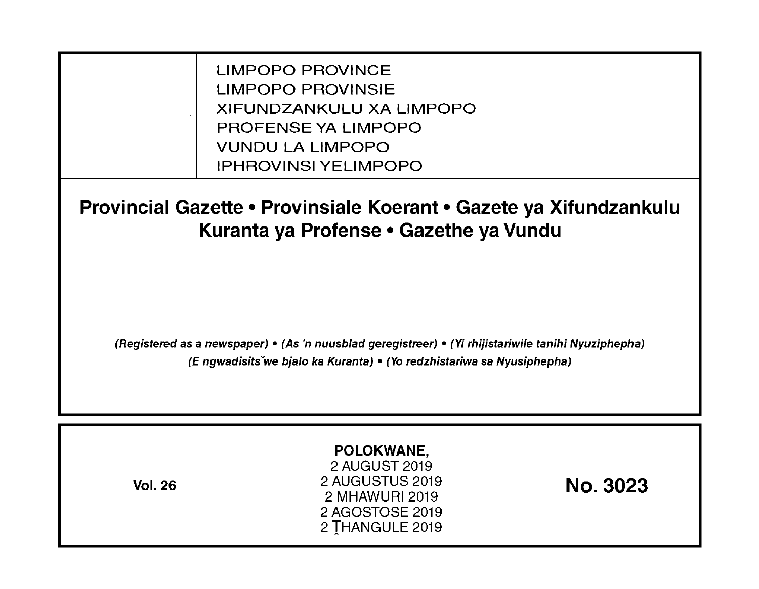LIMPOPO PROVINCE LIMPOPO PROVINSIE XIFUNDZANKULU XA LIMPOPO PROFENSE YA LIMPOPO VUNDU LA LIMPOPO IPHROVINSI YELIMPOPO

**Provincial Gazette • Provinsiale Koerant • Gazete ya Xifundzankulu Kuranta ya Profense • Gazethe ya Vundu** 

(Registered as a newspaper) • (As 'n nuusblad geregistreer) • (Yi rhijistariwile tanihi Nyuziphepha) (E ngwadisits we bjalo ka Kuranta) • (Yo redzhistariwa sa Nyusiphepha)

| <b>Vol. 26</b> | POLOKWANE,<br>2 AUGUST 2019<br>2 AUGUSTUS 2019<br>2 MHAWURI 2019<br>2 AGOSTOSE 2019<br>2 THANGULE 2019 | <b>No. 3023</b> |
|----------------|--------------------------------------------------------------------------------------------------------|-----------------|
|----------------|--------------------------------------------------------------------------------------------------------|-----------------|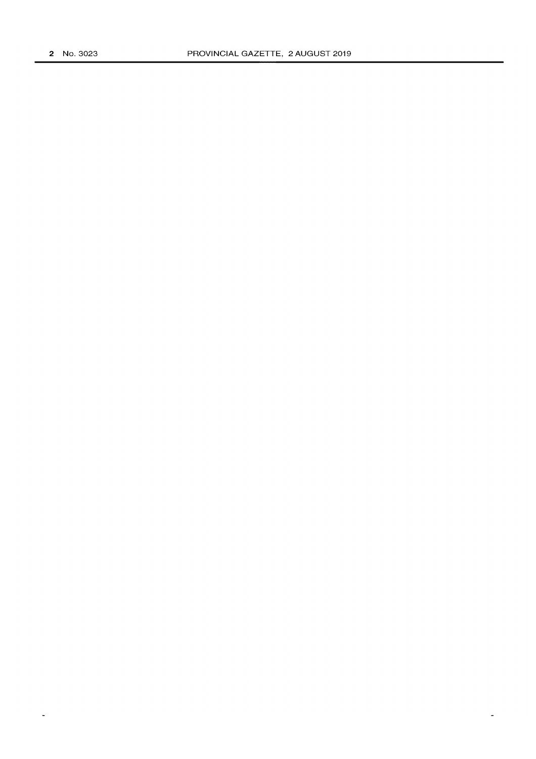$\Box$ 

 $\overline{\phantom{a}}$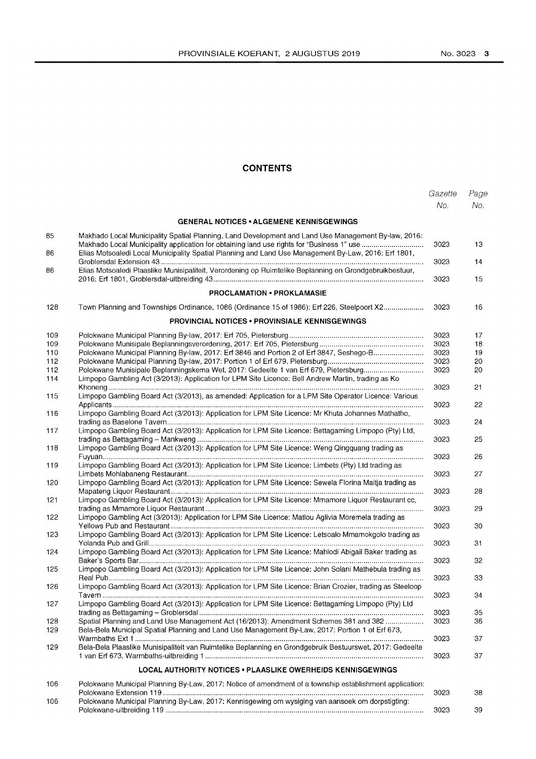### **CONTENTS**

|     |                                                                                                           | Gazette | Page |
|-----|-----------------------------------------------------------------------------------------------------------|---------|------|
|     |                                                                                                           | No.     | No.  |
|     | <b>GENERAL NOTICES • ALGEMENE KENNISGEWINGS</b>                                                           |         |      |
| 85  | Makhado Local Municipality Spatial Planning, Land Development and Land Use Management By-law, 2016:       | 3023    | 13   |
| 86  | Elias Motsoaledi Local Municipality Spatial Planning and Land Use Management By-Law, 2016: Erf 1801,      | 3023    | 14   |
| 86  | Elias Motsoaledi Plaaslike Munisipaliteit, Verordening op Ruimtelike Beplanning en Grondgebruikbestuur,   | 3023    | 15   |
|     | <b>PROCLAMATION • PROKLAMASIE</b>                                                                         |         |      |
| 128 | Town Planning and Townships Ordinance, 1086 (Ordinance 15 of 1986): Erf 226, Steelpoort X2                | 3023    | 16   |
|     | <b>PROVINCIAL NOTICES . PROVINSIALE KENNISGEWINGS</b>                                                     |         |      |
| 109 |                                                                                                           | 3023    | 17   |
| 109 |                                                                                                           | 3023    | 18   |
| 110 | Polokwane Municipal Planning By-law, 2017: Erf 3846 and Portion 2 of Erf 3847, Seshego-B                  | 3023    | 19   |
| 112 |                                                                                                           | 3023    |      |
|     |                                                                                                           |         | 20   |
| 112 | Polokwane Munisipale Beplanningskema Wet, 2017: Gedeelte 1 van Erf 679, Pietersburg                       | 3023    | 20   |
| 114 | Limpopo Gambling Act (3/2013): Application for LPM Site Licence: Bell Andrew Martin, trading as Ko        | 3023    | 21   |
| 115 | Limpopo Gambling Board Act (3/2013), as amended: Application for a LPM Site Operator Licence: Various     | 3023    | 22   |
| 116 | Limpopo Gambling Board Act (3/2013): Application for LPM Site Licence: Mr Khuta Johannes Mathatho,        |         |      |
|     |                                                                                                           | 3023    | 24   |
| 117 | Limpopo Gambling Board Act (3/2013): Application for LPM Site Licence: Bettagaming Limpopo (Pty) Ltd,     | 3023    | 25   |
| 118 | Limpopo Gambling Board Act (3/2013): Application for LPM Site Licence: Weng Qingquang trading as          |         |      |
| 119 | Limpopo Gambling Board Act (3/2013): Application for LPM Site Licence: Limbets (Pty) Ltd trading as       | 3023    | 26   |
| 120 | Limpopo Gambling Board Act (3/2013): Application for LPM Site Licence: Sewela Florina Maitja trading as   | 3023    | 27   |
|     |                                                                                                           | 3023    | 28   |
| 121 | Limpopo Gambling Board Act (3/2013): Application for LPM Site Licence: Mmamore Liquor Restaurant cc,      | 3023    | 29   |
| 122 | Limpopo Gambling Act (3/2013): Application for LPM Site Licence: Matlou Aglivia Moremela trading as       | 3023    | 30   |
| 123 | Limpopo Gambling Board Act (3/2013): Application for LPM Site Licence: Letsoalo Mmamokgolo trading as     | 3023    | 31   |
| 124 | Limpopo Gambling Board Act (3/2013): Application for LPM Site Licence: Mahlodi Abigail Baker trading as   |         |      |
| 125 | Limpopo Gambling Board Act (3/2013): Application for LPM Site Licence: John Solani Mathebula trading as   | 3023    | 32   |
| 126 | Limpopo Gambling Board Act (3/2013): Application for LPM Site Licence: Brian Crozier, trading as Steeloop | 3023    | 33   |
|     |                                                                                                           | 3023    | 34   |
| 127 | Limpopo Gambling Board Act (3/2013): Application for LPM Site Licence: Bettagaming Limpopo (Pty) Ltd      | 3023    | 35   |
| 128 | Spatial Planning and Land Use Management Act (16/2013): Amendment Schemes 381 and 382                     | 3023    | 36   |
| 129 | Bela-Bela Municipal Spatial Planning and Land Use Management By-Law, 2017: Portion 1 of Erf 673,          |         |      |
| 129 | Bela-Bela Plaaslike Munisipaliteit van Ruimtelike Beplanning en Grondgebruik Bestuurswet, 2017: Gedeelte  | 3023    | 37   |
|     |                                                                                                           | 3023    | 37   |
|     | <b>LOCAL AUTHORITY NOTICES . PLAASLIKE OWERHEIDS KENNISGEWINGS</b>                                        |         |      |
| 106 | Polokwane Municipal Planning By-Law, 2017: Notice of amendment of a township establishment application:   |         |      |
| 106 | Polokwane Municipal Planning By-Law, 2017: Kennisgewing om wysiging van aansoek om dorpstigting:          | 3023    | 38   |
|     |                                                                                                           | 3023    | 39   |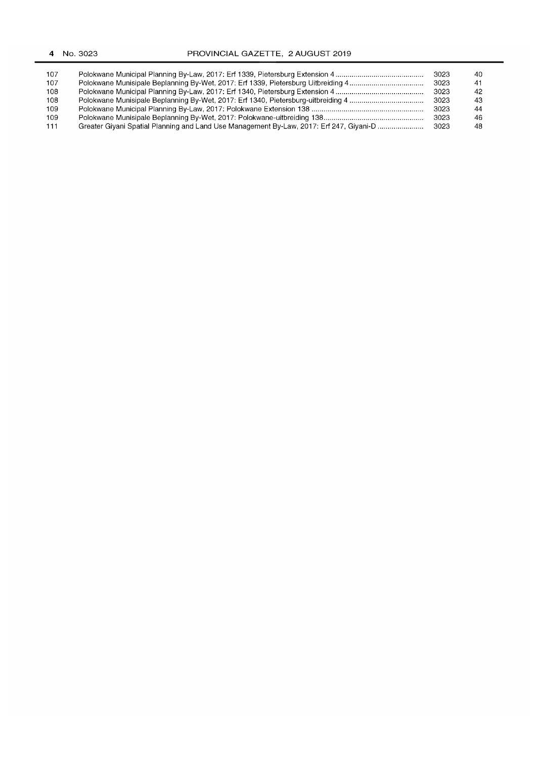#### 4 No. 3023 PROVINCIAL GAZETTE, 2 AUGUST 2019

| 107 |                                                                                         | 3023 | 40. |
|-----|-----------------------------------------------------------------------------------------|------|-----|
| 107 |                                                                                         | 3023 | 41  |
| 108 |                                                                                         | 3023 | 42. |
| 108 |                                                                                         | 3023 | 43. |
| 109 |                                                                                         | 3023 | 44  |
| 109 |                                                                                         | 3023 | 46. |
| 111 | Greater Giyani Spatial Planning and Land Use Management By-Law, 2017: Erf 247, Giyani-D | 3023 | 48. |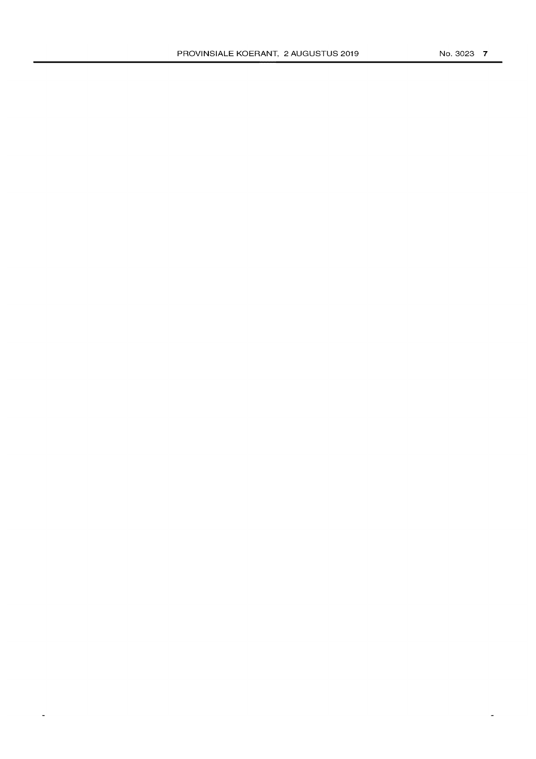$\ddot{\phantom{a}}$ 

 $\tilde{\phantom{a}}$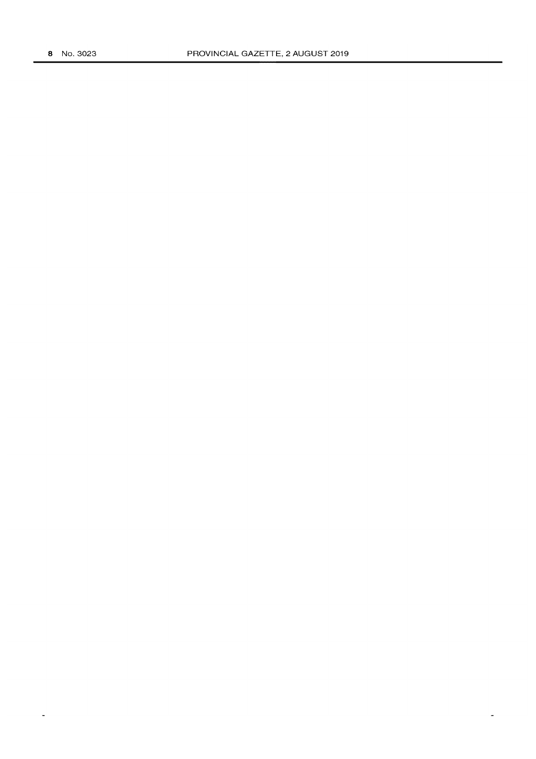$\Box$ 

 $\overline{\phantom{a}}$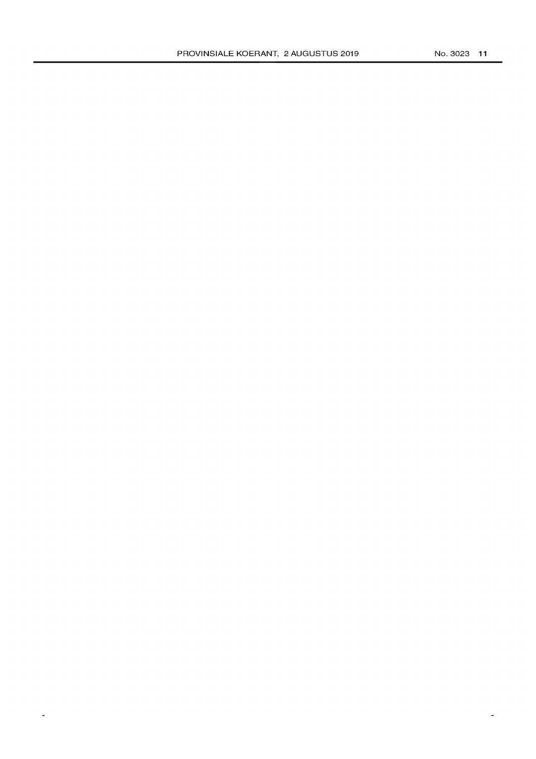$\hat{\mathcal{L}}$ 

 $\tilde{\phantom{a}}$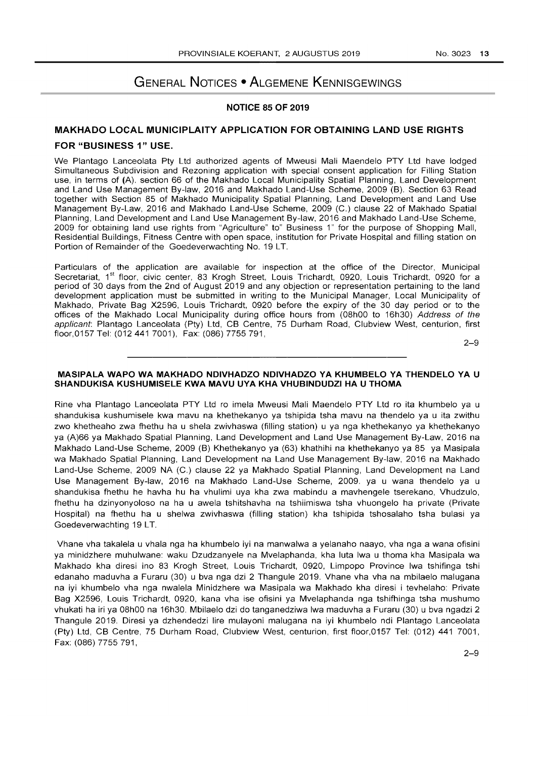# **GENERAL NOTICES • ALGEMENE KENNISGEWINGS**

### **NOTICE 85 OF 2019**

### **MAKHADO LOCAL MUNICIPLAITY APPLICATION FOR OBTAINING LAND USE RIGHTS**

#### **FOR "BUSINESS 1" USE.**

We Plantago Lanceolata Pty Ltd authorized agents of Mweusi Mali Maendelo PTY Ltd have lodged Simultaneous Subdivision and Rezoning application with special consent application for Filling Station use, in terms of (A). section 66 of the Makhado Local Municipality Spatial Planning, Land Development and Land Use Management By-law, 2016 and Makhado Land-Use Scheme, 2009 (B). Section 63 Read together with Section 85 of Makhado Municipality Spatial Planning, Land Development and Land Use Management By-Law, 2016 and Makhado Land-Use Scheme, 2009 (C.) clause 22 of Makhado Spatial Planning, Land Development and Land Use Management By-law, 2016 and Makhado Land-Use Scheme, 2009 for obtaining land use rights from "Agriculture" to" Business 1" for the purpose of Shopping Mall, Residential Buildings, Fitness Centre with open space, institution for Private Hospital and filling station on Portion of Remainder of the Goedeverwachting No. 19 LT.

Particulars of the application are available for inspection at the office of the Director, Municipal Secretariat, 1<sup>st</sup> floor, civic center, 83 Krogh Street, Louis Trichardt, 0920, Louis Trichardt, 0920 for a period of 30 days from the 2nd of August 2019 and any objection or representation pertaining to the land development application must be submitted in writing to the Municipal Manager, Local Municipality of Makhado, Private Bag X2596, Louis Trichardt, 0920 before the expiry of the 30 day period or to the offices of the Makhado Local Municipality during office hours from (08hOO to 16h30) Address of the applicant: Plantago Lanceolata (Pty) Ltd, CB Centre, 75 Durham Road, Clubview West, centurion, first floor,0157 Tel: (012441 7001), Fax: (086) 7755 791,

2-9

#### **MASIPALA WAPO WA MAKHADO NDIVHADZO NDIVHADZO YA KHUMBELO YA THENDELO YA U SHANDUKISA KUSHUMISELE KWA MAVU UYA KHA VHUBINDUDZI HA U THOMA**

Rine vha Plantago Lanceolata PTY Ltd ro imela Mweusi Mali Maendelo PTY Ltd ro ita khumbelo ya u shandukisa kushumisele kwa mavu na khethekanyo ya tshipida tsha mavu na thendelo ya u ita zwithu zwo khetheaho zwa fhethu ha u shela zwivhaswa (filling station) u ya nga khethekanyo ya khethekanyo ya (A)66 ya Makhado Spatial Planning, Land Development and Land Use Management By-Law, 2016 na Makhado Land-Use Scheme, 2009 (B) Khethekanyo ya (63) khathihi na khethekanyo ya 85 ya Masipala wa Makhado Spatial Planning, Land Development na Land Use Management By-law, 2016 na Makhado Land-Use Scheme, 2009 NA (C.) clause 22 ya Makhado Spatial Planning, Land Development na Land Use Management By-law, 2016 na Makhado Land-Use Scheme, 2009. ya u wana thendelo ya u shandukisa fhethu he havha hu ha vhulimi uya kha zwa mabindu a mavhengele tserekano, Vhudzulo, fhethu ha dzinyonyoloso na ha u awela tshitshavha na tshiimiswa tsha vhuongelo ha private (Private Hospital) na fhethu ha u shelwa zwivhaswa (filling station) kha tshipida tshosalaho tsha bulasi ya Goedeverwachting 19 LT.

Vhane vha takalela u vhala nga ha khumbelo iyi na manwalwa a yelanaho naayo, vha nga a wana ofisini ya minidzhere muhulwane: waku Dzudzanyele na Mvelaphanda, kha luta Iwa u thoma kha Masipala wa Makhado kha diresi ino 83 Krogh Street, Louis Trichardt, 0920, Limpopo Province Iwa tshifinga tshi edanaho maduvha a Furaru (30) u bva nga dzi 2 Thangule 2019. Vhane vha vha na mbilaelo malugana na iyi khumbelo vha nga nwalela Minidzhere wa Masipala wa Makhado kha diresi i tevhelaho: Private Bag X2596, Louis Trichardt, 0920, kana vha ise ofisini ya Mvelaphanda nga tshifhinga tsha mushumo vhukati ha iri ya 08hOO na 16h30. Mbilaelo dzi do tanganedziwa Iwa maduvha a Furaru (30) u bva ngadzi 2 Thangule 2019. Diresi ya dzhendedzi lire mulayoni malugana na iyi khumbelo ndi Plantago Lanceolata (Pty) Ltd, CB Centre, 75 Durham Road, Clubview West, centurion, first floor,0157 Tel: (012) 441 7001, Fax: (086) 7755 791,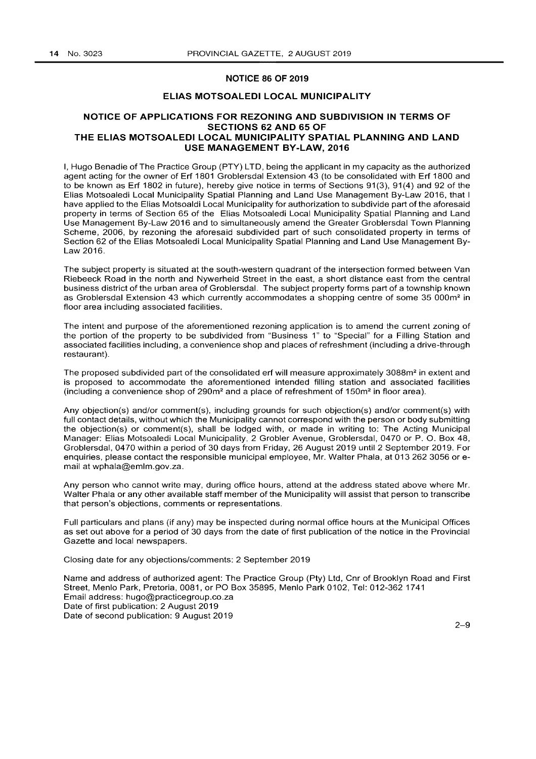#### **NOTICE 86 OF 2019**

#### **ELIAS MOTSOALEDI LOCAL MUNICIPALITY**

### **NOTICE OF APPLICATIONS FOR REZONING AND SUBDIVISION IN TERMS OF SECTIONS 62 AND 65 OF THE ELIAS MOTSOALEDI LOCAL MUNICIPALITY SPATIAL PLANNING AND LAND USE MANAGEMENT BY-LAW, 2016**

I, Hugo Benadie of The Practice Group (PTY) LTD, being the applicant in my capacity as the authorized agent acting for the owner of Erf 1801 Groblersdal Extension 43 (to be consolidated with Erf 1800 and to be known as Erf 1802 in future), hereby give notice in terms of Sections 91(3),91(4) and 92 of the Elias Motsoaledi Local Municipality Spatial Planning and Land Use Management By-Law 2016, that I have applied to the Elias Motsoaldi Local Municipality for authorization to subdivide part of the aforesaid property in terms of Section 65 of the Elias Motsoaledi Local Municipality Spatial Planning and Land Use Management By-Law 2016 and to simultaneously amend the Greater Groblersdal Town Planning Scheme, 2006, by rezoning the aforesaid subdivided part of such consolidated property in terms of Section 62 of the Elias Motsoaledi Local Municipality Spatial Planning and Land Use Management By-Law 2016.

The subject property is situated at the south-western quadrant of the intersection formed between Van Riebeeck Road in the north and Nywerheid Street in the east, a short distance east from the central business district of the urban area of Groblersdal. The subject property forms part of a township known as Groblersdal Extension 43 which currently accommodates a shopping centre of some 35 000m<sup>2</sup> in floor area including associated facilities.

The intent and purpose of the aforementioned rezoning application is to amend the current zoning of the portion of the property to be subdivided from "Business 1" to "Special" for a Filling Station and associated facilities including, a convenience shop and places of refreshment (including a drive-through restaurant).

The proposed subdivided part of the consolidated erf will measure approximately 3088m<sup>2</sup> in extent and is proposed to accommodate the aforementioned intended filling station and associated facilities (including a convenience shop of  $290m^2$  and a place of refreshment of  $150m^2$  in floor area).

Any objection(s) and/or comment(s), including grounds for such objection(s) and/or comment(s) with full contact details, without which the Municipality cannot correspond with the person or body submitting the objection(s) or comment(s), shall be lodged with, or made in writing to: The Acting Municipal Manager: Elias Motsoaledi Local Municipality, 2 Grobler Avenue, Groblersdal, 0470 or P. O. Box 48, Groblersdal, 0470 within a period of 30 days from Friday, 26 August 2019 until 2 September 2019. For enquiries, please contact the responsible municipal employee, Mr. Walter Phala, at 013 262 3056 or email at wphala@emlm.gov.za.

Any person who cannot write may, during office hours, attend at the address stated above where Mr. Walter Phala or any other available staff member of the Municipality will assist that person to transcribe that person's objections, comments or representations.

Full particulars and plans (if any) may be inspected during normal office hours at the Municipal Offices as set out above for a period of 30 days from the date of first publication of the notice in the Provincial Gazette and local newspapers.

Closing date for any objections/comments: 2 September 2019

Name and address of authorized agent: The Practice Group (Pty) Ltd, Cnr of Brooklyn Road and First Street, Menlo Park, Pretoria, 0081, or PO Box 35895, Menlo Park 0102, Tel: 012-3621741 Email address: hugo@practicegroup.co.za Date of first publication: 2 August 2019 Date of second publication: 9 August 2019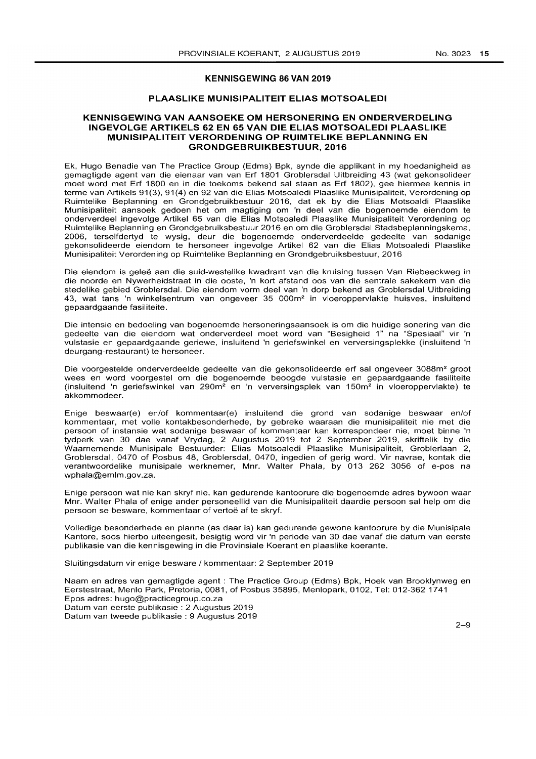#### **KENNISGEWING 86 VAN 2019**

#### **PLAASLIKE MUNISIPALITEIT ELIAS MOTSOALEDI**

#### **KENNISGEWING VAN AANSOEKE OM HERSONERING EN ONDERVERDELING INGEVOLGE ARTIKELS 62 EN 65 VAN DIE ELIAS MOTSOALEDI PLAASLIKE MUNISIPALITEIT VERORDENING OP RUIMTELIKE BEPLANNING EN GRONDGEBRUIKBESTUUR,2016**

Ek, Hugo Benadie van The Practice Group (Edms) Bpk, synde die applikant in my hoedanigheid as gemagtigde agent van die eienaar van van Erf 1801 Groblersdal Uitbreiding 43 (wat gekonsolideer moet word met Erf 1800 en in die toekoms bekend sal staan as Erf 1802), gee hiermee kennis in terme van Artikels 91(3), 91(4) en 92 van die Elias Motsoaledi Plaaslike Munisipaliteit, Verordening op Ruimtelike Beplanning en Grondgebruikbestuur 2016, dat ek by die Elias Motsoaldi Plaaslike Munisipaliteit aansoek gedoen het om magtiging om 'n dee I van die bogenoemde eiendom te onderverdeel ingevolge Artikel 65 van die Elias Motsoaledi Plaaslike Munisipaliteit Verordening op Ruimtelike Beplanning en Grondgebruiksbestuur 2016 en om die Groblersdal Stadsbeplanningskema, 2006, terselfdertyd te wysig, deur die bogenoemde onderverdeelde gedeelte van sodanige gekonsolideerde eiendom te hersoneer ingevolge Artikel 62 van die Elias Motsoaledi Plaaslike Munisipaliteit Verordening op Ruimtelike Beplanning en Grondgebruiksbestuur, 2016

Die eiendom is gelee aan die suid-westelike kwadrant van die kruising tussen Van Riebeeckweg in die noorde en Nywerheidstraat in die ooste, 'n kort afstand oos van die sentrale sakekern van die stedelike gebied Groblersdal. Die eiendom vorm deel van 'n dorp bekend as Groblersdal Uitbreiding 43, wat tans 'n winkelsentrum van ongeveer 35 000m<sup>2</sup> in vloeroppervlakte huisves, insluitend gepaardgaande fasiliteite.

Die intensie en bedoeling van bogenoemde hersoneringsaansoek is om die huidige sonering van die gedeelte van die eiendom wat onderverdeel moet word van "Besigheid 1" na "Spesiaal" vir 'n vulstasie en gepaardgaande geriewe, insluitend 'n geriefswinkel en verversingsplekke (insluitend 'n deurgang-restaurant) te hersoneer.

Die voorgestelde onderverdeelde gedeelte van die gekonsolideerde erf sal ongeveer 3088m<sup>2</sup> groot wees en word voorgestel om die bogenoemde beoogde vulstasie en gepaardgaande fasiliteite (insluitend 'n geriefswinkel van 290 $m^2$  en 'n verversingsplek van 150 $m^2$  in vloeroppervlakte) te akkommodeer.

Enige beswaar(e) en/of kommentaar(e) insluitend die grond van sodanige beswaar en/of kommentaar, met volle kontakbesonderhede, by gebreke waaraan die munisipaliteit nie met die persoon of instansie wat sodanige beswaar of kommentaar kan korrespondeer nie, moet binne 'n tydperk van 30 dae vanaf Vrydag, 2 Augustus 2019 tot 2 September 2019, skriftelik by die Waarnemende Munisipale Bestuurder: Elias Motsoaledi Plaaslike Munisipaliteit, Groblerlaan 2, Groblersdal, 0470 of Posbus 48, Groblersdal, 0470, ingedien of gerig word. Vir navrae, kontak die verantwoordelike munisipale werknemer, Mnr. Walter Phala, by 013 262 3056 of e-pos na wphala@emlm.gov.za.

Enige persoon wat nie kan skryf nie, kan gedurende kantoorure die bogenoemde adres bywoon waar Mnr. Walter Phala of enige ander personeellid van die Munisipaliteit daardie persoon sal help om die persoon se besware, kommentaar of vertoë af te skryf.

Volledige besonderhede en planne (as daar is) kan gedurende gewone kantoorure by die Munisipale Kantore, soos hierbo uiteengesit, besigtig word vir 'n periode van 30 dae vanaf die datum van eerste publikasie van die kennisgewing in die Provinsiale Koerant en plaaslike koerante.

Sluitingsdatum vir enige besware / kommentaar: 2 September 2019

Naam en adres van gemagtigde agent: The Practice Group (Edms) Bpk, Hoek van Brooklynweg en Eerstestraat, Menlo Park, Pretoria, 0081, of Posbus 35895, Menlopark, 0102, Tel: 012-3621741 Epos adres: hugo@practicegroup.co.za Datum van eerste publikasie : 2 Augustus 2019 Datum van tweede publikasie : 9 Augustus 2019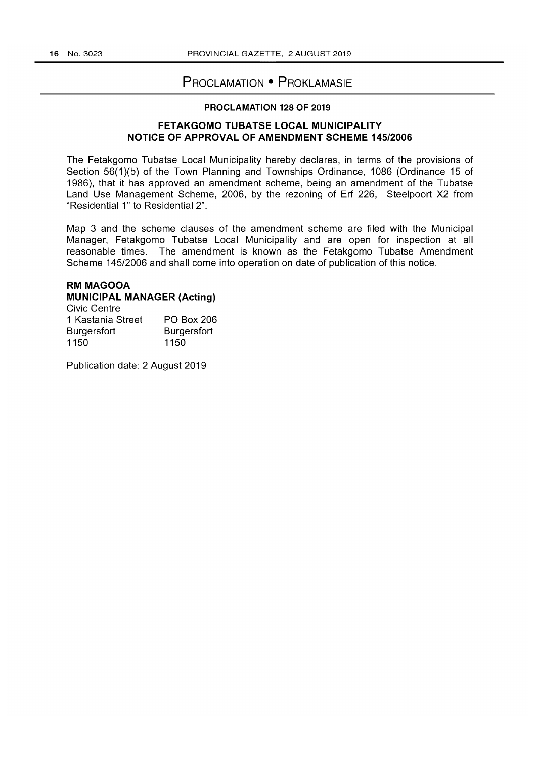# PROCLAMATION • PROKLAMASIE

### **PROCLAMATION 128 OF 2019**

### **FETAKGOMO TUBATSE LOCAL MUNICIPALITY NOTICE OF APPROVAL OF AMENDMENT SCHEME 145/2006**

The Fetakgomo Tubatse Local Municipality hereby declares, in terms of the provisions of Section 56(1)(b) of the Town Planning and Townships Ordinance, 1086 (Ordinance 15 of 1986), that it has approved an amendment scheme, being an amendment of the Tubatse Land Use Management Scheme, 2006, by the rezoning of Erf 226, Steelpoort X2 from "Residential 1" to Residential 2".

Map 3 and the scheme clauses of the amendment scheme are filed with the Municipal Manager, Fetakgomo Tubatse Local Municipality and are open for inspection at all reasonable times. The amendment is known as the Fetakgomo Tubatse Amendment Scheme 145/2006 and shall come into operation on date of publication of this notice.

# **RM MAGOOA**

#### **MUNICIPAL MANAGER (Acting)**  Civic Centre

| <b>PO Box 206</b>  |
|--------------------|
| <b>Burgersfort</b> |
| 1150               |
|                    |

Publication date: 2 August 2019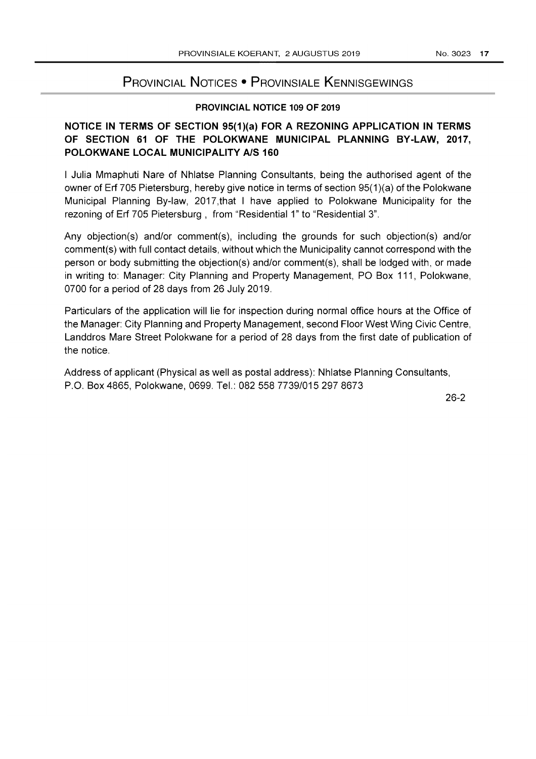# PROVINCIAL NOTICES • PROVINSIALE KENNISGEWINGS

### PROVINCIAL NOTICE 109 OF 2019

# NOTICE IN TERMS OF SECTION 95(1)(a) FOR A REZONING APPLICATION IN TERMS OF SECTION 61 OF THE POLOKWANE MUNICIPAL PLANNING BY-LAW, 2017, POLOKWANE LOCAL MUNICIPALITY A/S 160

I Julia Mmaphuti Nare of Nhlatse Planning Consultants, being the authorised agent of the owner of Erf 705 Pietersburg, hereby give notice in terms of section 95(1 )(a) of the Polokwane Municipal Planning By-law, 2017,that I have applied to Polokwane Municipality for the rezoning of Erf 705 Pietersburg, from "Residential 1" to "Residential 3".

Any objection(s) and/or comment(s), including the grounds for such objection(s) and/or comment(s) with full contact details, without which the Municipality cannot correspond with the person or body submitting the objection(s) and/or comment(s), shall be lodged with, or made in writing to: Manager: City Planning and Property Management, PO Box 111, Polokwane, 0700 for a period of 28 days from 26 July 2019.

Particulars of the application will lie for inspection during normal office hours at the Office of the Manager: City Planning and Property Management, second Floor West Wing Civic Centre, Landdros Mare Street Polokwane for a period of 28 days from the first date of publication of the notice.

Address of applicant (Physical as well as postal address): Nhlatse Planning Consultants, P.O. Box 4865, Polokwane, 0699. Tel.: 082 558 7739/015 297 8673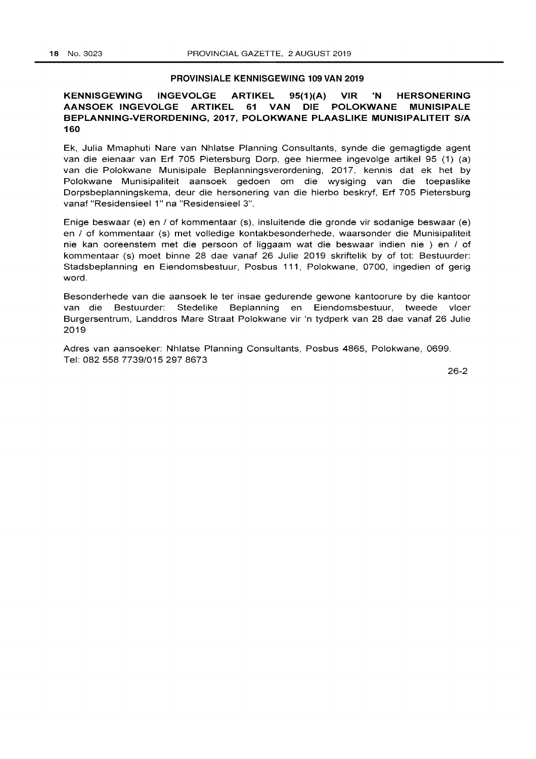#### **PROVINSIALE KENNISGEWING 109 VAN 2019**

KENNISGEWING INGEVOLGE ARTIKEL 95(1)(A) VIR 'N **AANSOEK INGEVOLGE ARTIKEL 61 VAN DIE POLOKWANE HERSONERING MUNISIPALE BEPLANNING-VERORDENING, 2017, POLOKWANE PLAASLIKE MUNISIPALITEIT S/A 160** 

Ek, Julia Mmaphuti Nare van Nhlatse Planning Consultants, synde die gemagtigde agent van die eienaar van **Erf** 705 Pietersburg Dorp, gee hiermee ingevolge artikel 95 (1) (a) van die Polokwane Munisipale Beplanningsverordening, 2017, kennis dat ek het by Polokwane Munisipaliteit aansoek gedoen om die wysiging van die toepaslike Dorpsbeplanningskema, deur die hersonering van die hierbo beskryf, **Erf** 705 Pietersburg vanaf "Residensieel 1" na "Residensieel 3".

Enige beswaar (e) en / of kommentaar (s), insluitende die gronde vir sodanige beswaar (e) en / of kommentaar (s) met volledige kontakbesonderhede, waarsonder die Munisipaliteit nie kan ooreenstem met die persoon of liggaam wat die beswaar indien nie ) en / of kommentaar (s) moet binne 28 dae vanaf 26 Julie 2019 skriftelik by of tot: Bestuurder: Stadsbeplanning en Eiendomsbestuur, Posbus 111, Polokwane, 0700, ingedien of gerig word.

Besonderhede van die aansoek Ie ter insae gedurende gewone kantoorure by die kantoor van die Bestuurder: Stedelike Beplanning en Eiendomsbestuur, tweede vloer Burgersentrum, Landdros Mare Straat Polokwane vir 'n tydperk van 28 dae vanaf 26 Julie 2019

Adres van aansoeker: Nhlatse Planning Consultants, Posbus 4865, Polokwane, 0699. Tel: 0825587739/0152978673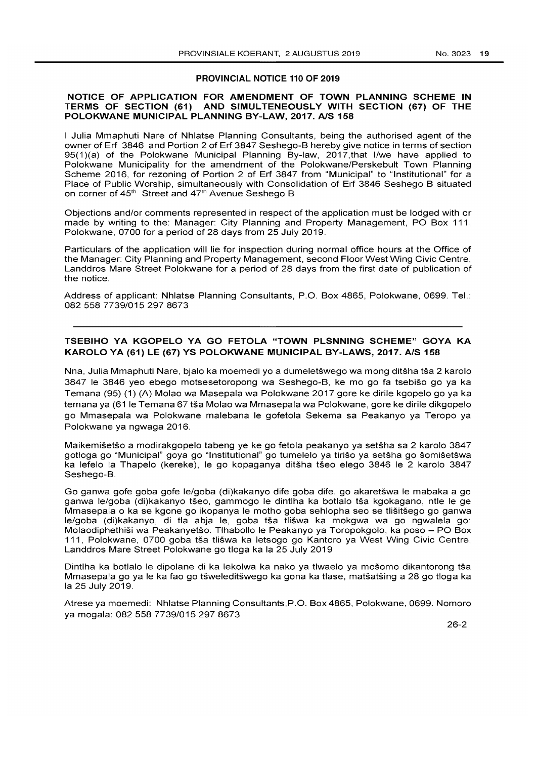#### **PROVINCIAL NOTICE 110 OF 2019**

#### **NOTICE OF APPLICATION FOR AMENDMENT OF TOWN PLANNING SCHEME IN TERMS OF SECTION (61) AND SIMULTENEOUSLY WITH SECTION (67) OF THE POLOKWANE MUNICIPAL PLANNING BY-LAW, 2017. AlS 158**

I Julia Mmaphuti Nare of Nhlatse Planning Consultants, being the authorised agent of the owner of Erf 3846 and Portion 2 of Erf 3847 Seshego-B hereby give notice in terms of section  $95(1)(a)$  of the Polokwane Municipal Planning By-law, 2017 that I/we have applied to Polokwane Municipality for the amendment of the Polokwane/Perskebult Town Planning Scheme 2016, for rezoning of Portion 2 of Erf 3847 from "Municipal" to "Institutional" for a Place of Public Worship, simultaneously with Consolidation of Erf 3846 Seshego B situated on corner of 45<sup>th</sup> Street and 47<sup>th</sup> Avenue Seshego B

Objections and/or comments represented in respect of the application must be lodged with or made by writing to the: Manager: City Planning and Property Management, PO Box 111, Polokwane, 0700 for a period of 28 days from 25 July 2019.

Particulars of the application will lie for inspection during normal office hours at the Office of the Manager: City Planning and Property Management, second Floor West Wing Civic Centre, Landdros Mare Street Polokwane for a period of 28 days from the first date of publication of the notice.

Address of applicant: Nhlatse Planning Consultants, P.O. Box 4865, Polokwane, 0699. Tel.: 082 558 7739/015 297 8673

### **TSEBIHO YA KGOPELO YA GO FETOLA "TOWN PLSNNING SCHEME" GOYA KA KAROLO YA (61) LE (67) YS POLOKWANE MUNICIPAL BY-LAWS, 2017. A/S 158**

Nna, Julia Mmaphuti Nare, bjalo ka moemedi yo a dumeletswego wa mong ditsha tsa 2 karolo 3847 Ie 3846 yeo ebego motsesetoropong wa Seshego-B, ke mo go fa tsebiso go ya ka Temana (95) (1) (A) Molao wa Masepala wa Polokwane 2017 gore ke dirile kgopelo go ya ka temana ya (61 Ie Temana 67 tsa Molao wa Mmasepala wa Polokwane, gore ke dirile dikgopelo go Mmasepala wa Polokwane malebana Ie gofetola Sekema sa Peakanyo ya Teropo ya Polokwane ya ngwaga 2016.

Maikemisetso a modirakgopelo tabeng ye ke go fetola peakanyo ya setsha sa 2 karolo 3847 gotloga go "Municipal" goya go "Institutional" go tumelelo ya tiriso ya setsha go somisetswa ka lefelo la Thapelo (kereke), le go kopaganya ditšha tšeo elego 3846 le 2 karolo 3847 Seshego-B.

Go ganwa gofe goba gofe le/goba (di)kakanyo dife goba dife, go akaretswa Ie mabaka a go ganwa le/goba (di)kakanyo tseo, gammogo Ie dintlha ka botlalo tsa kgokagano, ntle Ie ge Mmasepala 0 ka se kgone go ikopanya Ie motho goba sehlopha seo se tlisitsego go ganwa le/goba (di)kakanyo, di tla abja Ie, goba tsa tliswa ka mokgwa wa go ngwalela go: Molaodiphethisi wa Peakanyetso: Tlhabollo Ie Peakanyo ya Toropokgolo, ka poso - PO Box 111, Polokwane, 0700 goba tsa tliswa ka letsogo go Kantoro ya West Wing Civic Centre, Landdros Mare Street Polokwane go tioga ka la 25 July 2019

Dintlha ka botlalo le dipolane di ka lekolwa ka nako ya tlwaelo ya mošomo dikantorong tša Mmasepala go ya le ka fao go tšweleditšwego ka gona ka tlase, matšatšing a 28 go tloga ka la 25 July 2019.

Atrese ya moemedi: Nhlatse Planning Consultants,P.O. Box 4865, Polokwane, 0699. Nomoro ya mogala: 0825587739/0152978673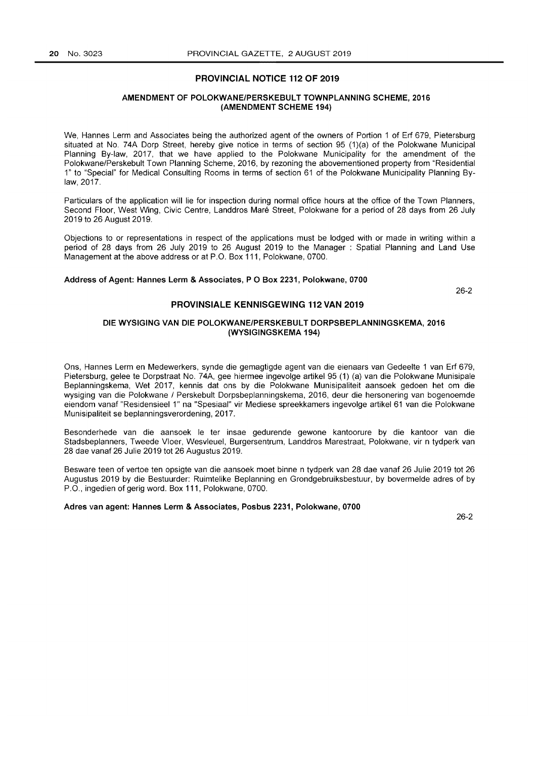### PROVINCIAL NOTICE 112 OF 2019

#### AMENDMENT OF POLOKWANEIPERSKEBULT TOWNPLANNING SCHEME, 2016 (AMENDMENT SCHEME 194)

We, Hannes Lerm and Associates being the authorized agent of the owners of Portion 1 of Erf 679. Pietersburg situated at No. 74A Dorp Street, hereby give notice in terms of section 95 (1)(a) of the Polokwane Municipal Planning By-law, 2017, that we have applied to the Polokwane Municipality for the amendment of the Polokwane/Perskebult Town Planning Scheme, 2016, by rezoning the abovementioned property from "Residential 1" to "Special" for Medical Consulting Rooms in terms of section 61 of the Polokwane Municipality Planning Bylaw, 2017.

Particulars of the application will lie for inspection during normal office hours at the office of the Town Planners, Second Floor, West Wing, Civic Centre, Landdros Maré Street, Polokwane for a period of 28 days from 26 July 2019 to 26 August 2019.

Objections to or representations in respect of the applications must be lodged with or made in writing within a period of 28 days from 26 July 2019 to 26 August 2019 to the Manager: Spatial Planning and Land Use Management at the above address or at P.O. Box 111, Polokwane, 0700.

#### Address of Agent: Hannes Lerm & Associates, P O Box 2231, Polokwane, 0700

26-2

#### PROVINSIALE KENNISGEWING 112 VAN 2019

### DIE WYSIGING VAN DIE POLOKWANEIPERSKEBULT DORPSBEPLANNINGSKEMA, 2016 (WYSIGINGSKEMA 194)

Ons, Hannes Lerm en Medewerkers, synde die gemagtigde agent van die eienaars van Gedeelte 1 van Erf 679, Pietersburg, gelee te Dorpstraat No. 74A, gee hiermee ingevolge artikel 95 (1) (a) van die Polokwane Munisipale Beplanningskema, Wet 2017, kennis dat ons by die Polokwane Munisipaliteit aansoek gedoen het om die wysiging van die Polokwane / Perskebult Dorpsbeplanningskema, 2016, deur die hersonering van bogenoemde eiendom vanaf "Residensieel 1" na "Spesiaal" vir Mediese spreekkamers ingevolge artikel 61 van die Polokwane Munisipaliteit se beplanningsverordening, 2017.

Besonderhede van die aansoek Ie ter insae gedurende gewone kantoorure by die kantoor van die Stadsbeplanners, Tweede Vloer, Wesvleuel, Burgersentrum, Landdros Marestraat, Polokwane, vir n tydperk van 28 dae vanaf 26 Julie 2019 tot 26 Augustus 2019.

Besware teen of vertoe ten opsigte van die aansoek moet binne n tydperk van 28 dae vanaf 26 Julie 2019 tot 26 Augustus 2019 by die Bestuurder: Ruimtelike Beplanning en Grondgebruiksbestuur, by bovermelde adres of by P.O., ingedien of gerig word. Box 111, Polokwane, 0700.

Adres van agent: Hannes Lerm & Associates, Posbus 2231, Polokwane, 0700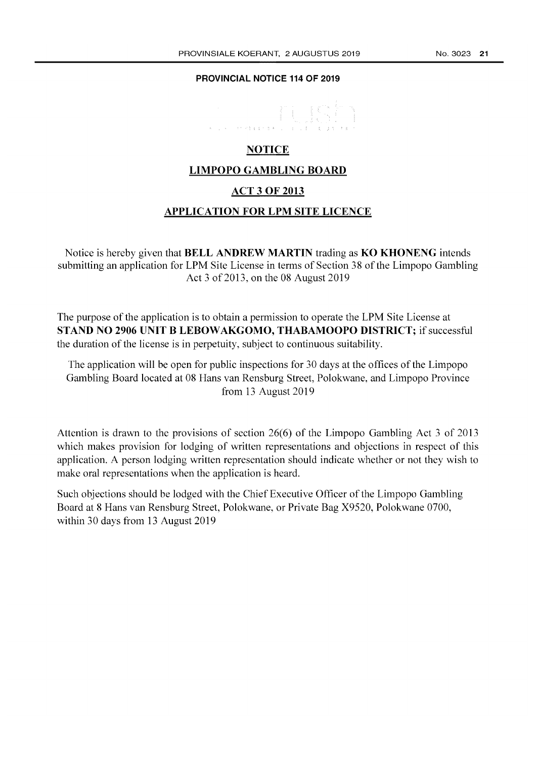### **PROVINCIAL NOTICE 114 OF 2019**

# **NOTICE**

# **LIMPOPO GAMBLING BOARD**

# **ACT 3 OF 2013**

# **APPLICATION FOR LPM SITE LICENCE**

Notice is hereby given that **BELL ANDREW MARTIN** trading as **KO KHONENG** intends submitting an application for LPM Site License in terms of Section 38 of the Limpopo Gambling Act 3 of2013, on the 08 August 2019

The purpose of the application is to obtain a permission to operate the LPM Site License at **STAND NO 2906 UNIT B LEBOWAKGOMO, THABAMOOPO DISTRICT;** if successful the duration of the license is in perpetuity, subject to continuous suitability.

The application will be open for public inspections for 30 days at the offices of the Limpopo Gambling Board located at 08 Hans van Rensburg Street, Polokwane, and Limpopo Province from 13 August 2019

Attention is drawn to the provisions of section 26(6) of the Limpopo Gambling Act 3 of 2013 which makes provision for lodging of written representations and objections in respect of this application. A person lodging written representation should indicate whether or not they wish to make oral representations when the application is heard.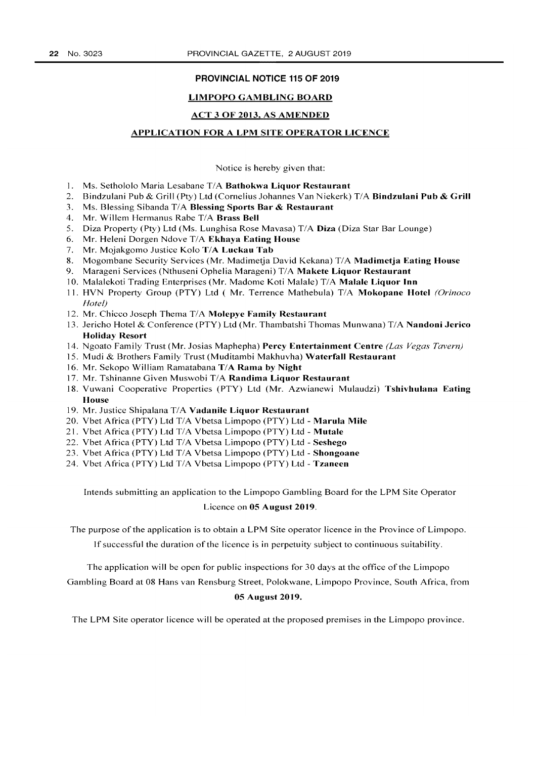#### PROVINCIAL NOTICE 115 OF 2019

### LIMPOPO GAMBLING BOARD

### ACT 3 OF 2013, AS AMENDED

### APPLICATION FOR A LPM SITE OPERATOR LICENCE

Notice is hereby given that:

- I. Ms. Sethololo Maria Lesabane *T/A* Bathokwa Liquor Restaurant
- 2. Bindzulani Pub & Grill (Pty) Ltd (Cornelius Johannes Van Niekerk) *T/A* Bindzulani Pub & Grill
- 3. Ms. Blessing Sibanda *T/A* Blessing Sports Bar & Restaurant
- 4. Mr. Willem Hermanus Rabe *T/A* Brass Bell
- 5. Diza Property (Pty) Ltd (Ms. Lunghisa Rose Mavasa) *T/A* Diza (Diza Star Bar Lounge)
- 6. Mr. Heleni Dorgen Ndove *T/A* Ekhaya Eating House
- 7. Mr. Mojakgomo Justice Kolo *T/A* Luckau Tab
- 8. Mogombane Security Services (Mr. Madimetja David Kekana) *T/A* Madimetja Eating House
- 9. Marageni Services (Nthuseni Ophelia Marageni) *T/A* Makete Liquor Restaurant
- 10. Malalekoti Trading Enterprises (Mr. Madome Koti Malale) *T/A* Malale Liquor Inn
- II. HVN Property Group (PTY) Ltd ( Mr. Terrence Mathebula) *T/A* Mokopane Hotel *(Orinoco Hotel)*
- 12. Mr. Chicco Joseph Thema T/A Molepve Family Restaurant
- 13. Jericho Hotel & Conference (PTY) Ltd (Mr. Thambatshi Thomas Munwana) *T/A* Nandoni Jerico Holiday Resort
- 14. Ngoato Family Trust (Mr. Josias Maphepha) Percy Entertainment Centre *(Las Vegas Tavern)*
- 15. Mudi & Brothers Family Trust (Muditambi Makhuvha) Waterfall Restaurant
- 16. Mr. Sekopo William Ramatabana *T/A* Rama by Night
- 17. Mr. Tshinanne Given Muswobi *T/A* Randima Liquor Restaurant
- 18. Vuwani Cooperative Properties (PTY) Ltd (Mr. Azwianewi Mulaudzi) Tshivhulana Eating House
- 19. Mr. Justice Shipalana *T/A* Vadanile Liquor Restaurant
- 20. Vbet Africa (PTY) Ltd *T/A* Vbetsa Limpopo (PTY) Ltd Marula Mile
- 21. Vbet Africa (PTY) Ltd *T/A* Vbetsa Limpopo (PTY) Ltd Mutale
- 22. Vbet Africa (PTY) Ltd *T/A* Vbetsa Limpopo (PTY) Ltd Seshego
- 23. Vbet Africa (PTY) Ltd *T/A* Vbetsa Limpopo (PTY) Ltd Shongoane
- 24. Vbet Africa (PTY) Ltd *T/A* Vbetsa Limpopo (PTY) Ltd Tzaneen

Intends submitting an application to the Limpopo Gambling Board for the LPM Site Operator Licence on 05 August 2019.

The purpose of the application is to obtain a LPM Site operator licence in the Province of Limpopo.

If successful the duration of the licence is in perpetuity subject to continuous suitability.

The application will be open for public inspections for 30 days at the office of the Limpopo

Gambling Board at 08 Hans van Rensburg Street, Polokwane, Limpopo Province, South Africa, from

### 05 August 2019.

The LPM Site operator licence will be operated at the proposed premises in the Limpopo province.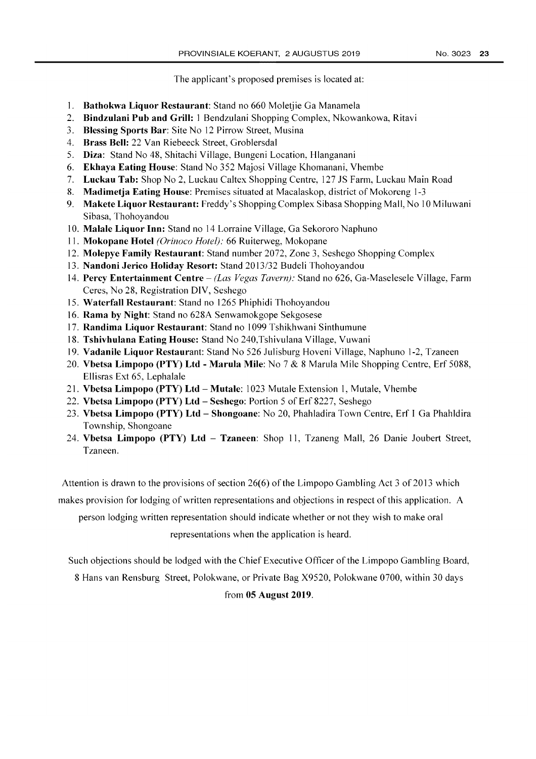The applicant's proposed premises is located at:

- I. Bathokwa Liquor Restaurant: Stand no 660 Moletjie Ga Manamela
- 2. Bindzulani Pub and Grill: I Bendzulani Shopping Complex, Nkowankowa, Ritavi
- 3. Blessing Sports Bar: Site No 12 Pirrow Street, Musina
- 4. Brass Bell: 22 Van Riebeeck Street, Groblersdal
- 5. Diza: Stand No 48, Shitachi Village, Bungeni Location, Hlanganani
- 6. Ekhaya Eating House: Stand No 352 Majosi Village Khomanani, Vhembe
- 7. Luckau Tab: Shop No 2, Luckau Caltex Shopping Centre, 127 JS Farm, Luckau Main Road
- 8. Madimetja Eating House: Premises situated at Macalaskop, district of Mokoreng 1-3
- 9. Makete Liquor Restaurant: Freddy's Shopping Complex Sibasa Shopping Mall, No 10 Miluwani Sibasa, Thohoyandou
- 10. Malale Liquor Inn: Stand no 14 Lorraine Village, Ga Sekororo Naphuno
- II. Mokopane Hotel *(Orinoco Hotel):* 66 Ruiterweg, Mokopane
- 12. Molepye Family Restaurant: Stand number 2072, Zone 3, Seshego Shopping Complex
- 13. Nandoni Jerico Holiday Resort: Stand 2013/32 Budeli Thohoyandou
- 14. Percy Entertainment Centre *(Las Vegas Tavern):* Stand no 626, Ga-Maselesele Village, Farm Ceres, No 28, Registration DlV, Seshego
- 15. Waterfall Restaurant: Stand no 1265 Phiphidi Thohoyandou
- 16. Rama by Night: Stand no 628A Senwamokgope Sekgosese
- 17. Randima Liquor Restaurant: Stand no 1099 Tshikhwani Sinthumune
- 18. Tshivhulana Eating House: Stand No 240,Tshivulana Village, Vuwani
- 19. Vadanile Liquor Restaurant: Stand No 526 Julisburg Hoveni Village, Naphuno 1-2, Tzaneen
- 20. Vbetsa Limpopo (PTY) Ltd Marula Mile: No 7 & 8 Marula Mile Shopping Centre, Erf 5088, Ellisras Ext 65, Lephalale
- 21. Vbetsa Limpopo (PTY) Ltd Mutale: 1023 Mutale Extension I, Mutale, Vhembe
- 22. Vbetsa Limpopo (PTY) Ltd Seshego: Portion 5 of Erf 8227, Seshego
- 23. Vbetsa Limpopo (PTY) Ltd Shongoane: No 20, Phahladira Town Centre, Erf I Ga Phahldira Township, Shongoane
- 24. Vbetsa Limpopo (PTY) Ltd Tzaneen: Shop 11, Tzaneng Mall, 26 Danie Joubert Street, Tzaneen.

Attention is drawn to the provisions of section  $26(6)$  of the Limpopo Gambling Act 3 of 2013 which

makes provision for lodging of written representations and objections in respect of this application. A

person lodging written representation should indicate whether or not they wish to make oral

representations when the application is heard.

Such objections should be lodged with the Chief Executive Officer of the Limpopo Gambling Board,

8 Hans van Rensburg Street, Polokwane, or Private Bag X9520, Polokwane 0700, within 30 days

# from 05 August 2019.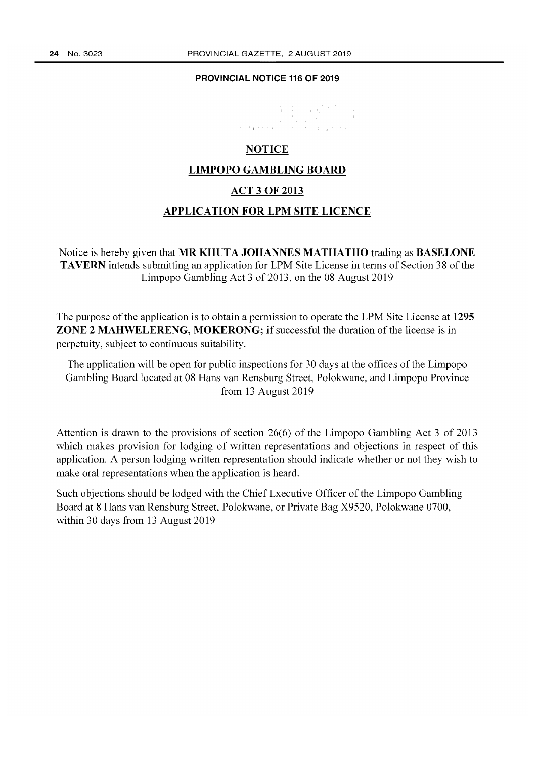### **PROVINCIAL NOTICE 116 OF 2019**



# **NOTICE**

### **LIMPOPO GAMBLING BOARD**

### **ACT 3 OF 2013**

# **APPLICATION FOR LPM SITE LICENCE**

Notice is hereby given that **MR KHUTA JOHANNES MATHATHO** trading as BASEL ONE TAVERN intends submitting an application for LPM Site License in terms of Section 38 of the Limpopo Gambling Act 3 of 2013, on the 08 August 2019

The purpose of the application is to obtain a permission to operate the LPM Site License at 1295 **ZONE 2 MAHWELERENG, MOKERONG;** if successful the duration of the license is in perpetuity, subject to continuous suitability.

The application will be open for public inspections for 30 days at the offices of the Limpopo Gambling Board located at 08 Hans van Rensburg Street, Polokwane, and Limpopo Province from 13 August 2019

Attention is drawn to the provisions of section 26(6) of the Limpopo Gambling Act 3 of 2013 which makes provision for lodging of written representations and objections in respect of this application. A person lodging written representation should indicate whether or not they wish to make oral representations when the application is heard.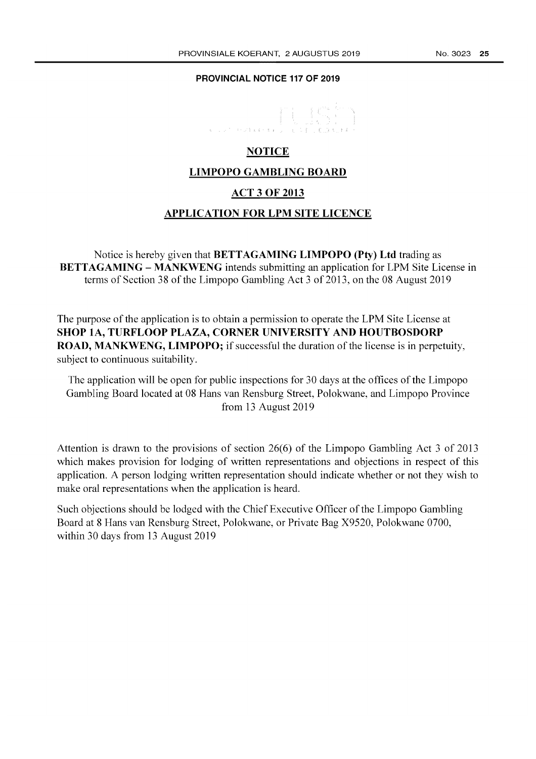### **PROVINCIAL NOTICE 117 OF 2019**

# **NOTICE**

# **LIMPOPO GAMBLING BOARD**

# **ACT 3 OF 2013**

# **APPLICATION FOR LPM SITE LICENCE**

Notice is hereby given that **BETTAGAMING LIMPOPO (Pty) Ltd** trading as **BETTAGAMING - MANKWENG** intends submitting an application for LPM Site License in terms of Section 38 of the Limpopo Gambling Act 3 of 2013, on the 08 August 2019

The purpose of the application is to obtain a permission to operate the LPM Site License at **SHOP lA, TURFLOOP PLAZA, CORNER UNIVERSITY AND HOUTBOSDORP ROAD, MANKWENG, LIMPOPO;** if successful the duration of the license is in perpetuity, subject to continuous suitability.

The application will be open for public inspections for 30 days at the offices of the Limpopo Gambling Board located at 08 Hans van Rensburg Street, Polokwane, and Limpopo Province from 13 August 2019

Attention is drawn to the provisions of section 26(6) of the Limpopo Gambling Act 3 of 2013 which makes provision for lodging of written representations and objections in respect of this application. A person lodging written representation should indicate whether or not they wish to make oral representations when the application is heard.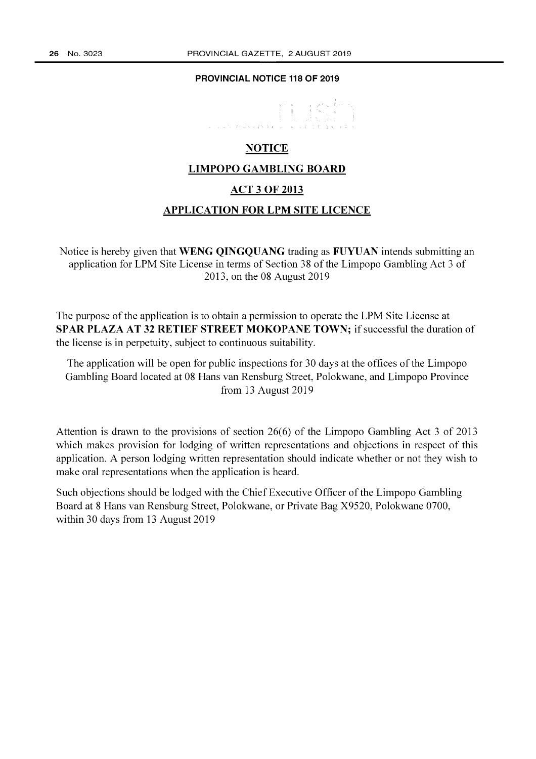### **PROVINCIAL NOTICE 118 OF 2019**



# **NOTICE LIMPOPO GAMBLING BOARD ACT 3 OF 2013 APPLICATION FOR LPM SITE LICENCE**

Notice is hereby given that **WENG QINGQUANG** trading as **FUYUAN** intends submitting an application for LPM Site License in terms of Section 38 of the Limpopo Gambling Act 3 of 2013, on the 08 August 2019

The purpose of the application is to obtain a permission to operate the LPM Site License at **SPAR PLAZA AT 32 RETIEF STREET MOKOPANE TOWN;** if successful the duration of the license is in perpetuity, subject to continuous suitability.

The application will be open for public inspections for 30 days at the offices of the Limpopo Gambling Board located at 08 Hans van Rensburg Street, Polokwane, and Limpopo Province from 13 August 2019

Attention is drawn to the provisions of section 26(6) of the Limpopo Gambling Act 3 of 2013 which makes provision for lodging of written representations and objections in respect of this application. A person lodging written representation should indicate whether or not they wish to make oral representations when the application is heard.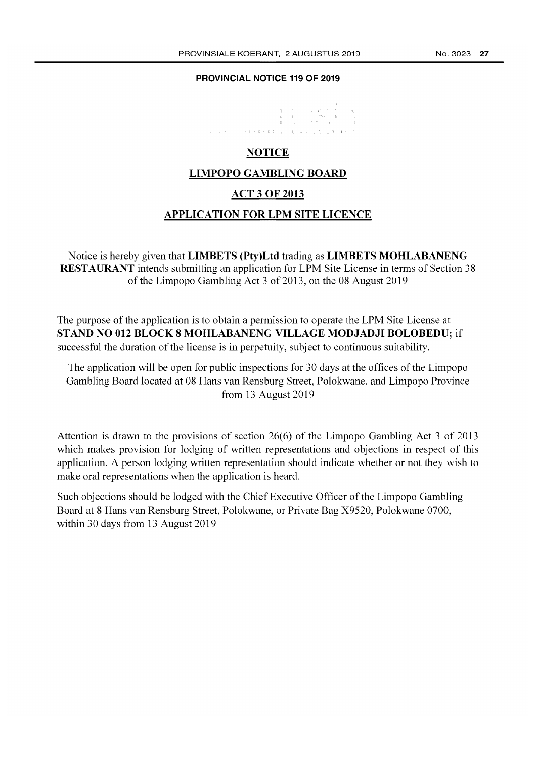### **PROVINCIAL NOTICE 119 OF 2019**

# **NOTICE**

# **LIMPOPO GAMBLING BOARD**

# **ACT 3 OF 2013**

# **APPLICATION FOR LPM SITE LICENCE**

Notice is hereby given that **LIMBETS (Pty)Ltd** trading as **LIMBETS MOHLABANENG RESTAURANT** intends submitting an application for LPM Site License in terms of Section 38 of the Limpopo Gambling Act 3 of 2013, on the 08 August 2019

The purpose of the application is to obtain a permission to operate the LPM Site License at **STAND NO 012 BLOCK 8 MOHLABANENG VILLAGE MODJADJI BOLOBEDU;** if successful the duration of the license is in perpetuity, subject to continuous suitability.

The application will be open for public inspections for 30 days at the offices of the Limpopo Gambling Board located at 08 Hans van Rensburg Street, Polokwane, and Limpopo Province from 13 August 2019

Attention is drawn to the provisions of section 26(6) of the Limpopo Gambling Act 3 of 2013 which makes provision for lodging of written representations and objections in respect of this application. A person lodging written representation should indicate whether or not they wish to make oral representations when the application is heard.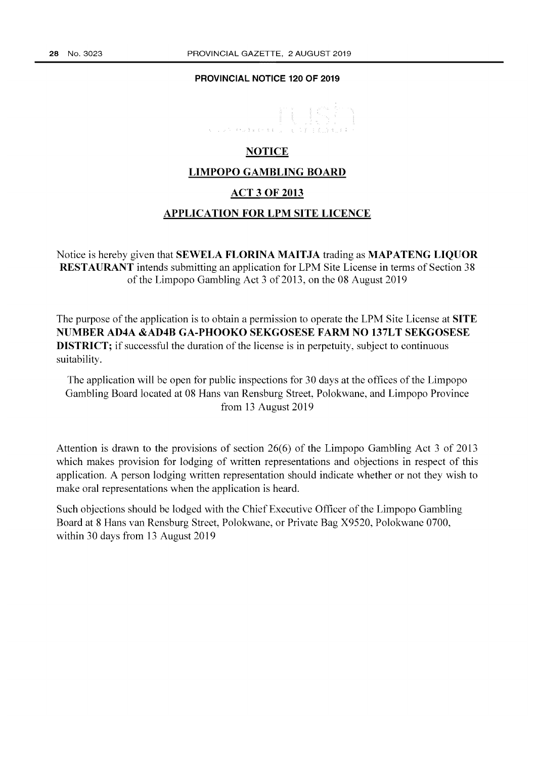### **PROVINCIAL NOTICE 120 OF 2019**



# **NOTICE**

# **LIMPOPO GAMBLING BOARD**

# **ACT 3 OF 2013**

# **APPLICATION FOR LPM SITE LICENCE**

Notice is hereby given that **SEWELA FLORINA MAITJA** trading as **MAPATENG LIQUOR RESTAURANT** intends submitting an application for LPM Site License in terms of Section 38 of the Limpopo Gambling Act 3 of 2013, on the 08 August 2019

The purpose of the application is to obtain a permission to operate the LPM Site License at **SITE NUMBER AD4A &AD4B GA-PHOOKO SEKGOSESE FARM NO 137LT SEKGOSESE DISTRICT;** if successful the duration of the license is in perpetuity, subject to continuous suitability.

The application will be open for public inspections for 30 days at the offices of the Limpopo Gambling Board located at 08 Hans van Rensburg Street, Polokwane, and Limpopo Province from 13 August 2019

Attention is drawn to the provisions of section 26(6) of the Limpopo Gambling Act 3 of 2013 which makes provision for lodging of written representations and objections in respect of this application. A person lodging written representation should indicate whether or not they wish to make oral representations when the application is heard.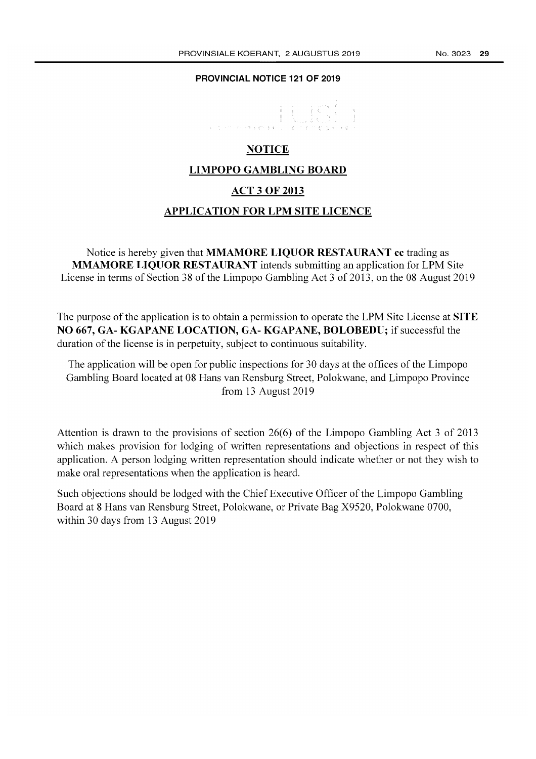### **PROVINCIAL NOTICE 121 OF 2019**



# **NOTICE**

# **LIMPOPO GAMBLING BOARD**

# **ACT 3 OF 2013**

# **APPLICATION FOR LPM SITE LICENCE**

Notice is hereby given that **MMAMORE LIQUOR RESTAURANT cc** trading as **MMAMORE LIQUOR RESTAURANT** intends submitting an application for LPM Site License in terms of Section 38 of the Limpopo Gambling Act 3 of 2013, on the 08 August 2019

The purpose of the application is to obtain a permission to operate the LPM Site License at **SITE NO 667, GA- KGAPANE LOCATION, GA- KGAPANE, BOLOBEDU;** if successful the duration of the license is in perpetuity, subject to continuous suitability.

The application will be open for public inspections for 30 days at the offices of the Limpopo Gambling Board located at 08 Hans van Rensburg Street, Polokwane, and Limpopo Province from 13 August 2019

Attention is drawn to the provisions of section 26(6) of the Limpopo Gambling Act 3 of 2013 which makes provision for lodging of written representations and objections in respect of this application. A person lodging written representation should indicate whether or not they wish to make oral representations when the application is heard.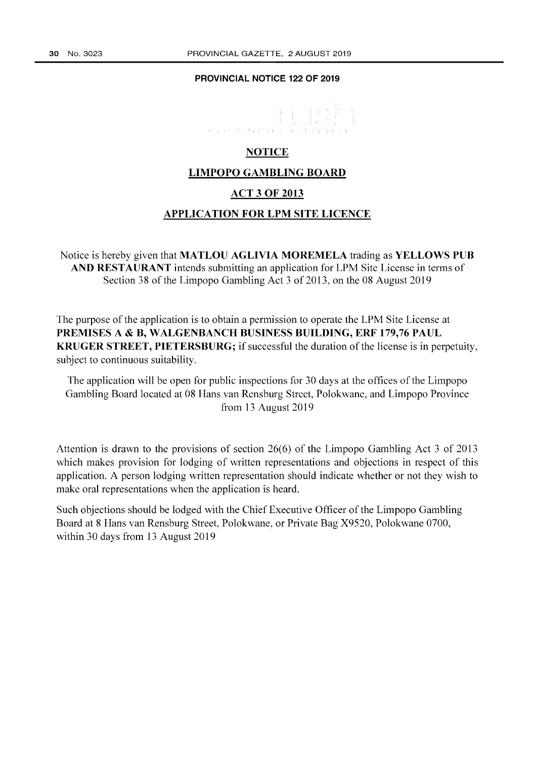### **PROVINCIAL NOTICE 122 OF 2019**

# **NOTICE**

### **LIMPOPO GAMBLING BOARD**

# **ACT 3 OF 2013**

# **APPLICATION FOR LPM SITE LICENCE**

Notice is hereby given that **MATLOU AGLIVIA MOREMELA** trading as **YELLOWS PUB AND RESTAURANT** intends submitting an application for LPM Site License in terms of Section 38 of the Limpopo Gambling Act 3 of 2013, on the 08 August 2019

The purpose of the application is to obtain a permission to operate the LPM Site License at **PREMISES A & B, WALGENBANCH BUSINESS BUILDING, ERF 179,76 PAUL KRUGER STREET, PIETERSBURG;** if successful the duration of the license is in perpetuity, subject to continuous suitability.

The application will be open for public inspections for 30 days at the offices of the Limpopo Gambling Board located at 08 Hans van Rensburg Street, Polokwane, and Limpopo Province from 13 August 2019

Attention is drawn to the provisions of section 26(6) of the Limpopo Gambling Act 3 of 2013 which makes provision for lodging of written representations and objections in respect of this application. A person lodging written representation should indicate whether or not they wish to make oral representations when the application is heard.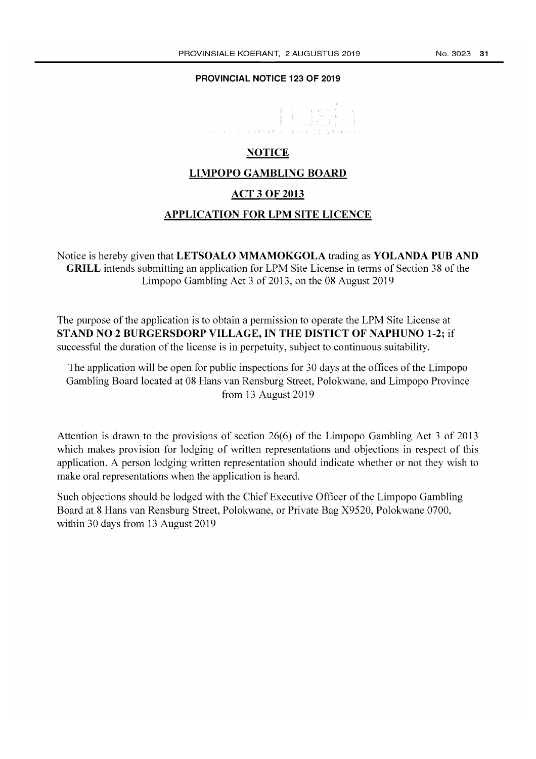### **PROVINCIAL NOTICE 123 OF 2019**

# **NOTICE**

# **LIMPOPO GAMBLING BOARD**

# **ACT 3 OF 2013**

# **APPLICATION FOR LPM SITE LICENCE**

Notice is hereby given that **LETSOALO MMAMOKGOLA** trading as **YOLANDA PUB AND GRILL** intends submitting an application for LPM Site License in terms of Section 38 of the Limpopo Gambling Act 3 of 2013, on the 08 August 2019

The purpose of the application is to obtain a permission to operate the LPM Site License at **STAND NO 2 BURGERSDORP VILLAGE, IN THE DISTICT OF NAPHUNO 1-2;** if successful the duration of the license is in perpetuity, subject to continuous suitability.

The application will be open for public inspections for 30 days at the offices of the Limpopo Gambling Board located at 08 Hans van Rensburg Street, Polokwane, and Limpopo Province from 13 August 2019

Attention is drawn to the provisions of section 26(6) of the Limpopo Gambling Act 3 of 2013 which makes provision for lodging of written representations and objections in respect of this application. A person lodging written representation should indicate whether or not they wish to make oral representations when the application is heard.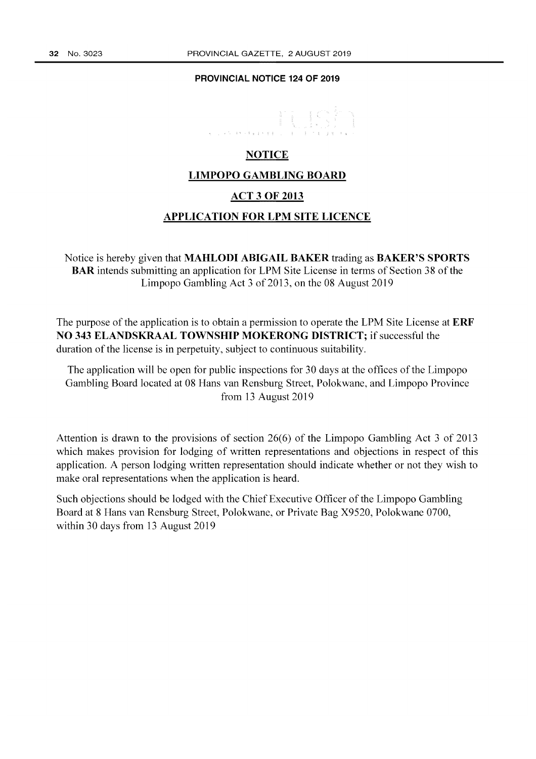### **PROVINCIAL NOTICE 124 OF 2019**



### **NOTICE**

### **LIMPOPO GAMBLING BOARD**

# **ACT 3 OF 2013**

### **APPLICATION FOR LPM SITE LICENCE**

Notice is hereby given that **MAHLODI ABIGAIL BAKER** trading as **BAKER'S SPORTS BAR** intends submitting an application for LPM Site License in terms of Section 38 of the Limpopo Gambling Act 3 of 2013, on the 08 August 2019

The purpose of the application is to obtain a permission to operate the LPM Site License at **ERF NO 343 ELANDSKRAAL TOWNSHIP MOKERONG DISTRICT;** if successful the duration of the license is in perpetuity, subject to continuous suitability.

The application will be open for public inspections for 30 days at the offices of the Limpopo Gambling Board located at 08 Hans van Rensburg Street, Polokwane, and Limpopo Province from 13 August 2019

Attention is drawn to the provisions of section 26(6) of the Limpopo Gambling Act 3 of 2013 which makes provision for lodging of written representations and objections in respect of this application. A person lodging written representation should indicate whether or not they wish to make oral representations when the application is heard.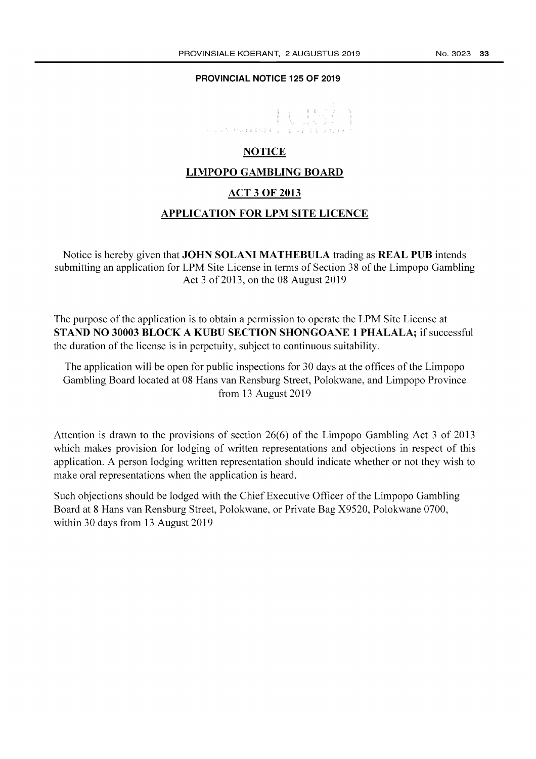### **PROVINCIAL NOTICE 125 OF 2019**

# **NOTICE**

# **LIMPOPO GAMBLING BOARD**

# **ACT 3 OF 2013**

# **APPLICATION FOR LPM SITE LICENCE**

Notice is hereby given that **JOHN SOLANI MATHEBULA** trading as **REAL PUB** intends submitting an application for LPM Site License in terms of Section 38 of the Limpopo Gambling Act 3 of 2013, on the 08 August 2019

The purpose of the application is to obtain a permission to operate the LPM Site License at **STAND NO 30003 BLOCK A KUBU SECTION SHONGOANE 1 PHALALA;** if successful the duration of the license is in perpetuity, subject to continuous suitability.

The application will be open for public inspections for 30 days at the offices of the Limpopo Gambling Board located at 08 Hans van Rensburg Street, Polokwane, and Limpopo Province from 13 August 2019

Attention is drawn to the provisions of section 26(6) of the Limpopo Gambling Act 3 of 2013 which makes provision for lodging of written representations and objections in respect of this application. A person lodging written representation should indicate whether or not they wish to make oral representations when the application is heard.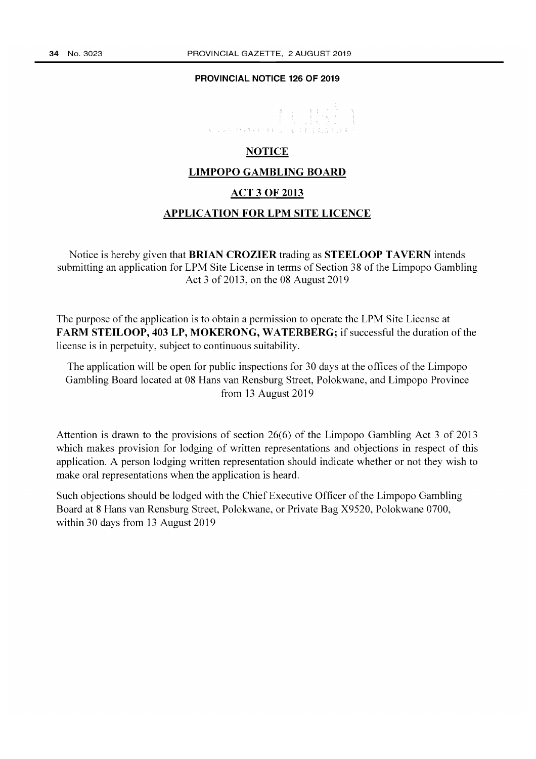### **PROVINCIAL NOTICE 126 OF 2019**



# **NOTICE**

# **LIMPOPO GAMBLING BOARD**

# **ACT 3 OF 2013**

# **APPLICATION FOR LPM SITE LICENCE**

Notice is hereby given that **BRIAN CROZIER** trading as **STEELOOP TAVERN** intends submitting an application for LPM Site License in terms of Section 38 of the Limpopo Gambling Act 3 of2013, on the 08 August 2019

The purpose of the application is to obtain a permission to operate the LPM Site License at **FARM STEILOOP, 403 LP, MOKERONG, WATERBERG;** if successful the duration of the license is in perpetuity, subject to continuous suitability.

The application will be open for public inspections for 30 days at the offices of the Limpopo Gambling Board located at 08 Hans van Rensburg Street, Polokwane, and Limpopo Province from 13 August 2019

Attention is drawn to the provisions of section 26(6) of the Limpopo Gambling Act 3 of 2013 which makes provision for lodging of written representations and objections in respect of this application. A person lodging written representation should indicate whether or not they wish to make oral representations when the application is heard.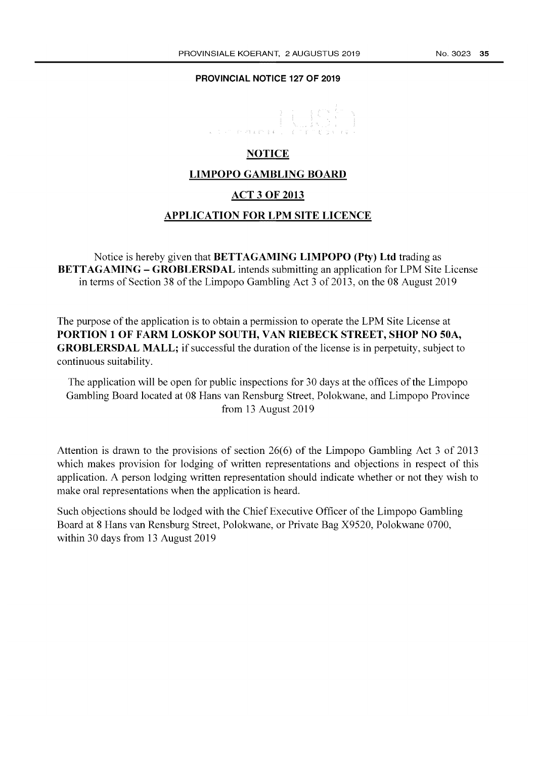### **PROVINCIAL NOTICE 127 OF 2019**



# **NOTICE**

# **LIMPOPO GAMBLING BOARD**

# **ACT 3 OF 2013**

# **APPLICATION FOR LPM SITE LICENCE**

Notice is hereby given that **BETTAGAMING LIMPOPO (Pty) Ltd** trading as **BETTAGAMING - GROBLERSDAL** intends submitting an application for LPM Site License in terms of Section 38 of the Limpopo Gambling Act 3 of 2013, on the 08 August 2019

The purpose of the application is to obtain a permission to operate the LPM Site License at **PORTION 1 OF FARM LOSKOP SOUTH, VAN RIEBECK STREET, SHOP NO SOA, GROBLERSDAL MALL;** if successful the duration of the license is in perpetuity, subject to continuous suitability.

The application will be open for public inspections for 30 days at the offices of the Limpopo Gambling Board located at 08 Hans van Rensburg Street, Polokwane, and Limpopo Province from 13 August 2019

Attention is drawn to the provisions of section 26(6) of the Limpopo Gambling Act 3 of 2013 which makes provision for lodging of written representations and objections in respect of this application. A person lodging written representation should indicate whether or not they wish to make oral representations when the application is heard.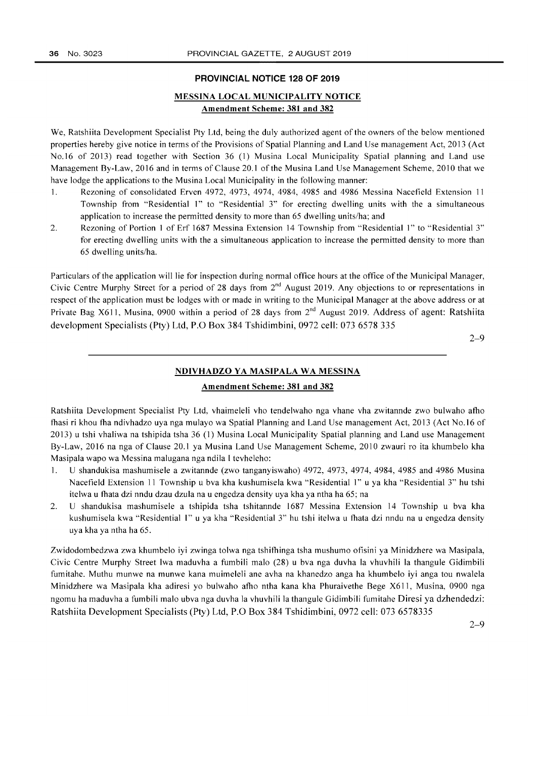#### **PROVINCIAL NOTICE 128 OF 2019**

### MESSINA LOCAL MUNICIPALITY NOTICE Amendment Scheme: 381 and 382

We, Ratshiita Development Specialist Pty Ltd, being the duly authorized agent of the owners of the below mentioned properties hereby give notice in tenns of the Provisions of Spatial Planning and Land Use management Act, 2013 (Act No.16 of 2013) read together with Section 36 (1) Musina Local Municipality Spatial planning and Land use Management By-Law, 2016 and in terms of Clause 20.1 of the Musina Land Use Management Scheme, 2010 that we have lodge the applications to the Musina Local Municipality in the following manner:

- 1. Rezoning of consolidated Erven 4972, 4973, 4974, 4984, 4985 and 4986 Messina Nacefield Extension 11 Township from "Residential I" to "Residential 3" for erecting dwelling units with the a simultaneous application to increase the pennitted density to more than 65 dwelling units/ha; and
- 2. Rezoning of Portion I of Erf 1687 Messina Extension 14 Township from "Residential I" to "Residential 3" for erecting dwelling units with the a simultaneous application to increase the pennitted density to more than 65 dwelling units/ha.

Particulars of the application will lie for inspection during normal office hours at the office of the Municipal Manager, Civic Centre Murphy Street for a period of 28 days from 2<sup>nd</sup> August 2019. Any objections to or representations in respect of the application must be lodges with or made in writing to the Municipal Manager at the above address or at Private Bag X611, Musina, 0900 within a period of 28 days from 2<sup>nd</sup> August 2019. Address of agent: Ratshiita development Specialists (Pty) Ltd, P.O Box 384 Tshidimbini, 0972 cell: 073 6578335

2-9

#### NDIVHADZO YA MASIPALA WA MESSINA

### Amendment Scheme: 381 and 382

Ratshiita Development Specialist Pty Ltd, vhaimeleli vho tendelwaho nga vhane vha zwitannde zwo bulwaho afuo fhasi ri khou fha ndivhadzo uya nga mulayo wa Spatial Planning and Land Use management Act, 2013 (Act No.16 of 2013) u tshi vhaliwa na tshipida tsha 36 (1) Musina Local Municipality Spatial planning and Land use Management By-Law, 2016 na nga of Clause 20.1 ya Musina Land Use Management Scheme, 2010 zwauri ro ita khumbelo kha Masipala wapo wa Messina malugana nga ndila J tevheleho:

- 1. U shandukisa mashumisele a zwitannde (zwo tanganyiswaho) 4972, 4973, 4974, 4984, 4985 and 4986 Musina Nacefield Extension 11 Township u bva kha kushumisela kwa "Residential 1" u ya kha "Residential 3" hu tshi itelwa u fhata dzi nndu dzau dzula na u engedza density uya kha ya ntha ha 65; na
- 2. U shandukisa mashumisele a tshipida tsha tshitannde 1687 Messina Extension 14 Township u bva kha kushumisela kwa "Residential I" u ya kha "Residential 3" hu tshi itelwa u fhata dzi nndu na u engedza density uya kha ya ntha ha 65.

Zwidodombedzwa zwa khumbelo iyi zwinga tolwa nga tshifhinga tsha mushumo ofisini ya Minidzhere wa Masipala, Civic Centre Murphy Street Iwa maduvha a fumbili malo (28) u bva nga duvha la vhuvhili la thangule Gidimbili fumitahe. Muthu munwe na munwe kana muimeleli ane avha na khanedzo anga ha khumbelo iyi anga tou nwalela Minidzhere wa Masipala kha adiresi yo bulwaho afho ntha kana kha Phuraivethe Bege X611, Musina, 0900 nga ngomu ha maduvha a fumbili malo ubva nga duvha la vhuvhili la thangule Gidimbili fumitahe Diresi ya dzhendedzi: Ratshiita Development Specialists (Pty) Ltd, P.O Box 384 Tshidimbini, 0972 cell: 073 6578335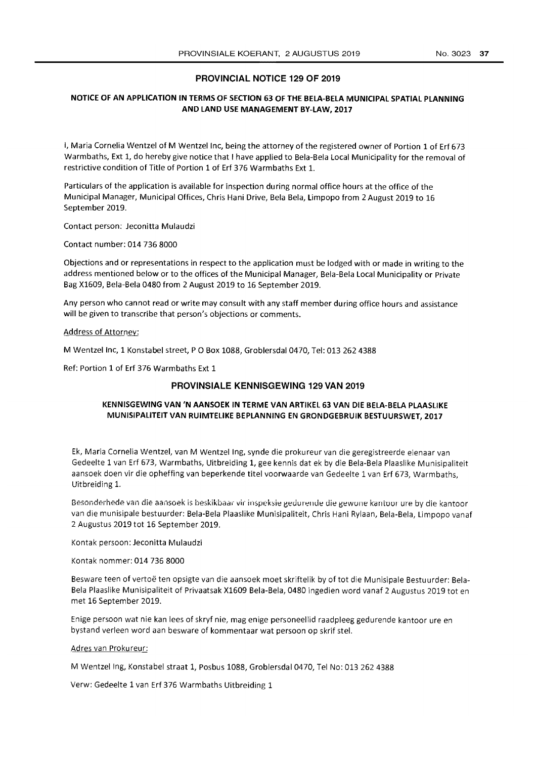### PROVINCIAL NOTICE 129 OF 2019

### NOTICE OF AN APPLICATION IN TERMS OF SECTION 63 OF THE BELA-BELA MUNICIPAL SPATIAL PLANNING AND LAND USE MANAGEMENT BY-LAW, 2017

I, Maria Cornelia Wentzel of M Wentzel Inc, being the attorney of the registered owner of Portion 1 of Erf 673 Warmbaths, Ext 1, do hereby give notice that I have applied to Bela-Bela Local Municipality for the removal of restrictive condition of Title of Portion 1 of Erf 376 Warmbaths Ext 1.

Particulars of the application is available for inspection du ring normal office hours at the office of the Municipal Manager, Municipal Offices, Chris Hani Drive, Bela Bela, limpopo from 2 August 2019 to 16 September 2019.

Contact person: Jeconitta Mulaudzi

Contact number: 014 736 8000

Objections and or representations in respect to the application must be lodged with or made in writing to the address mentioned below or to the offices of the Municipal Manager, Bela-Bela Local Municipality or Private Bag X1609, Bela-Bela 0480 from 2 August 2019 to 16 September 2019.

Any person who cannot read or write may consult with any staff member during office hours and assistance will be given to transcribe that person's objections or comments.

Address of Attorney:

M Wentzel Inc, 1 Konstabel street, P O Box 1088, Groblersdal 0470, Tel: 013 262 4388

Ref: Portion 1 of Erf 376 Warmbaths Ext 1

#### PROVINSIALE KENNISGEWING 129 VAN 2019

### KENNISGEWING VAN *'N* AANSOEK IN TERME VAN ARTIKEL63 VAN DIE BELA-BELA PLAASlIKE MUNISIPALITEIT VAN RUIMTELIKE BEPLANNING EN GRONDGEBRUIK BESTUURSWET, 2017

Ek, Maria Cornelia Wentzel, van M Wentzel lng, synde die prokureur van die geregistreerde eienaar van Gedeelte 1 van Erf 673, Warm baths, Uitbreiding 1, gee kennis dat ek by die Bela-Bela Plaaslike Munisipaliteit aansoek doen vir die opheffing van beperkende titel voorwaarde van Gedeelte 1 van Erf 673, Warmbaths, Uitbreiding 1.

Besonderhede van die aansoek is beskikbaar vir inspeksie gedurende die gewone kantoor ure by die kantoor van die munisipale bestuurder: Bela-Bela Plaaslike Munisipaliteit, Chris Hani Rylaan, Bela-Bela, limpopo vanaf 2 Augustus 2019 tot 16 September 2019.

Kontak persoon: Jeconitta Mulaudzi

Kontak nommer: 014 736 8000

Besware teen of vertoë ten opsigte van die aansoek moet skriftelik by of tot die Munisipale Bestuurder: Bela-Bela Plaaslike Munisipaliteit of Privaatsak X1609 Bela-Bela, 0480 ingedien word vanaf 2 Augustus 2019 tot en met 16 September 2019.

Enige persoon wat nie kan lees of skryf nie, mag enige personeellid raadpleeg gedurende kantoor ure en bystand verleen word aan besware of kommentaar wat persoon op skrif stel.

#### Adres van Prokureur:

M Wentzel lng, Konstabel straat 1, Posbus 1088, Groblersdal 0470, Tel No: 013 2624388

Verw: Gedeelte 1 van Erf 376 Warmbaths Uitbreiding 1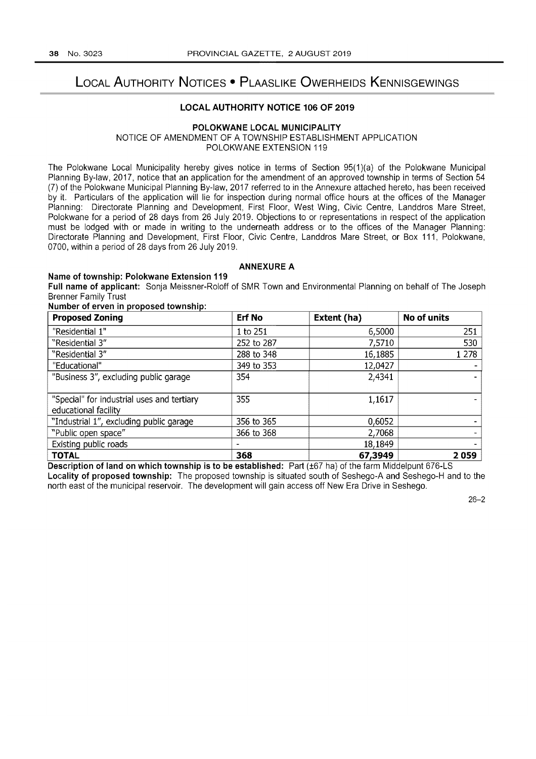# LOCAL AUTHORITY NOTICES • PLAASLIKE OWERHEIDS KENNISGEWINGS

### LOCAL AUTHORITY NOTICE 106 OF 2019

### POLOKWANE LOCAL MUNICIPALITY

NOTICE OF AMENDMENT OF A TOWNSHIP ESTABLISHMENT APPLICATION POLOKWANE EXTENSION 119

The Polokwane Local Municipality hereby gives notice in terms of Section 95(1)(a) of the Polokwane Municipal Planning By-law, 2017, notice that an application for the amendment of an approved township in terms of Section 54 (7) of the Polokwane Municipal Planning By-law, 2017 referred to in the Annexure attached hereto, has been received by it. Particulars of the application will lie for inspection during normal office hours at the offices of the Manager Planning: Directorate Planning and Development, First Floor, West Wing, Civic Centre, Landdros Mare Street, Polokwane for a period of 28 days from 26 July 2019. Objections to or representations in respect of the application must be lodged with or made in writing to the underneath address or to the offices of the Manager Planning: Directorate Planning and Development, First Floor, Civic Centre, Landdros Mare Street, or Box 111, Polokwane, 0700, within a period of 28 days from 26 July 2019.

#### ANNEXURE A

#### Name of township: Polokwane Extension 119

Full name of applicant: Sonja Meissner-Roloff of SMR Town and Environmental Planning on behalf of The Joseph Brenner Family Trust

Number of erven in proposed township'

| <b>Proposed Zoning</b>                                             | <b>Erf No</b> | Extent (ha) | No of units |
|--------------------------------------------------------------------|---------------|-------------|-------------|
| "Residential 1"                                                    | 1 to 251      | 6,5000      | 251         |
| "Residential 3"                                                    | 252 to 287    | 7,5710      | 530         |
| "Residential 3"                                                    | 288 to 348    | 16,1885     | 1 2 7 8     |
| "Educational"                                                      | 349 to 353    | 12,0427     |             |
| "Business 3", excluding public garage                              | 354           | 2,4341      |             |
| "Special" for industrial uses and tertiary<br>educational facility | 355           | 1,1617      |             |
| "Industrial 1", excluding public garage                            | 356 to 365    | 0,6052      |             |
| "Public open space"                                                | 366 to 368    | 2,7068      |             |
| Existing public roads                                              |               | 18,1849     |             |
| <b>TOTAL</b>                                                       | 368           | 67,3949     | 2059        |

Description of land on which township is to be established: Part  $(\pm 67 \text{ ha})$  of the farm Middelpunt 676-LS Locality of proposed township: The proposed township is situated south of Seshego-A and Seshego-H and to the north east of the municipal reservoir. The development will gain access off New Era Drive in Seshego.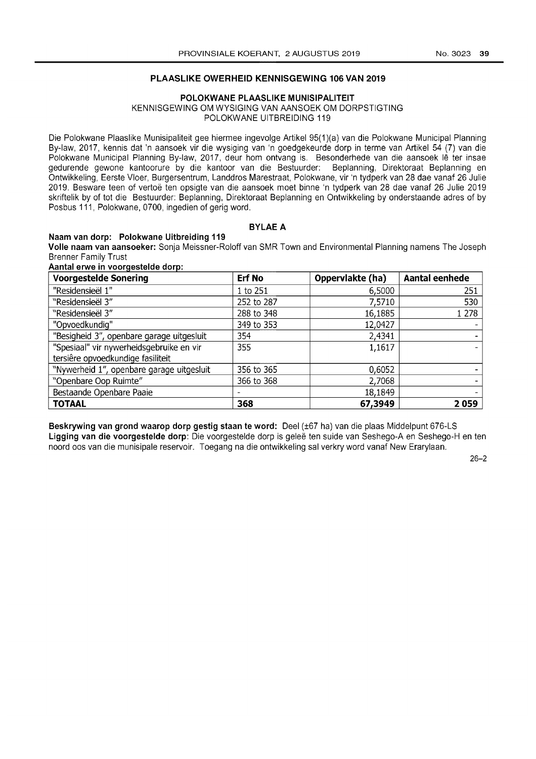### **PLAASLIKE OWERHEID KENNISGEWING 106 VAN 2019**

### **POLOKWANE PLAASLIKE MUNISIPALITEIT**

KENNISGEWING OM WYSIGING VAN AANSOEK OM DORPSTIGTING POLOKWANE UITBREIDING 119

Die Polokwane Plaaslike Munisipaliteit gee hiermee ingevolge Artikel 95(1 )(a) van die Polokwane Municipal Planning By-law, 2017, kennis dat 'n aansoek vir die wysiging van 'n goedgekeurde dorp in terme van Artikel 54 (7) van die Polokwane Municipal Planning By-law, 2017, deur hom ontvang is. Besonderhede van die aansoek lê ter insae gedurende gewone kantoorure by die kantoor van die Bestuurder: Beplanning, Direktoraat Beplanning en Ontwikkeling, Eerste Vloer, Burgersentrum, Landdros Marestraat, Polokwane, vir 'n tydperk van 28 dae vanaf 26 Julie 2019. Besware teen of vertoe ten opsigte van die aansoek moet binne 'n tydperk van 28 dae vanaf 26 Julie 2019 skriftelik by of tot die Bestuurder: Beplanning, Direktoraat Beplanning en Ontwikkeling by onderstaande adres of by Posbus 111, Polokwane, 0700, ingedien of gerig word.

# **BYLAE A**

### **Naam van dorp: Polokwane Uitbreiding 119**

**Volle naam van aansoeker:** Sonja Meissner-Roloff van SMR Town and Environmental Planning namens The Joseph **Brenner Family Trust**<br>**Aantal erwe in voorgestelde dorn: Naam van dorp: Polokwane Uitbr<br>Volle naam van aansoeker:** Sonja la<br>Brenner Family Trust<br>Aantal erwe in voorgestelde dorp:<br>Voorgestelde Sonering

| <b>Voorgestelde Sonering</b>              | <b>Erf No</b> | Oppervlakte (ha) | Aantal eenhede |
|-------------------------------------------|---------------|------------------|----------------|
| "Residensieël 1"                          | 1 to 251      | 6,5000           | 251            |
| "Residensieël 3"                          | 252 to 287    | 7,5710           | 530            |
| "Residensieël 3"                          | 288 to 348    | 16,1885          | 1 278          |
| "Opvoedkundig"                            | 349 to 353    | 12,0427          |                |
| "Besigheid 3", openbare garage uitgesluit | 354           | 2,4341           |                |
| "Spesiaal" vir nywerheidsgebruike en vir  | 355           | 1,1617           |                |
| tersiêre opvoedkundige fasiliteit         |               |                  |                |
| "Nywerheid 1", openbare garage uitgesluit | 356 to 365    | 0,6052           |                |
| "Openbare Oop Ruimte"                     | 366 to 368    | 2,7068           |                |
| Bestaande Openbare Paaie                  |               | 18,1849          |                |
| <b>TOTAAL</b>                             | 368           | 67,3949          | 2059           |

**Beskrywing van grond waarop dorp gestig staan te word:** Deel (±67 ha) van die plaas Middelpunt 676-LS **Ligging van die voorgestelde dorp:** Die voorgestelde dorp is gelee ten suide van Seshego-A en Seshego-H en ten noord oos van die munisipale reservoir. Toegang na die ontwikkeling sal verkry word vanaf New Erarylaan.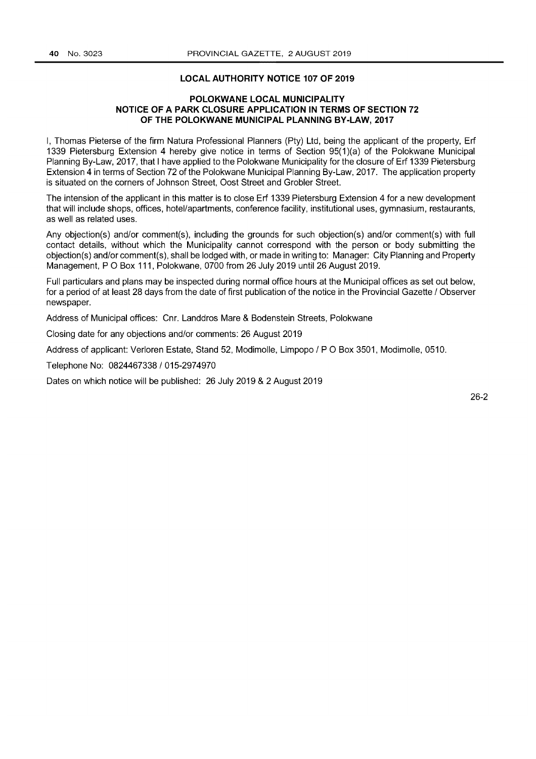### **LOCAL AUTHORITY NOTICE 107 OF 2019**

### **POLOKWANE LOCAL MUNICIPALITY NOTICE OF A PARK CLOSURE APPLICATION IN TERMS OF SECTION** 72 **OF THE POLOKWANE MUNICIPAL PLANNING BY-LAW, 2017**

I, Thomas Pieterse of the firm Natura Professional Planners (Pty) Ltd, being the applicant of the property, Erf 1339 Pietersburg Extension 4 hereby give notice in terms of Section 95(1 )(a) of the Polokwane Municipal Planning By-Law, 2017, that I have applied to the Polokwane Municipality for the closure of Erf 1339 Pietersburg Extension 4 in terms of Section 72 of the Polokwane Municipal Planning By-Law, 2017. The application property is situated on the corners of Johnson Street, Oost Street and Grobler Street.

The intension of the applicant in this matter is to close Erf 1339 Pietersburg Extension 4 for a new development that will include shops, offices, hotel/apartments, conference facility, institutional uses, gymnasium, restaurants, as well as related uses.

Any objection(s) and/or comment(s), including the grounds for such objection(s) and/or comment(s) with full contact details, without which the Municipality cannot correspond with the person or body submitting the objection(s) and/or comment(s), shall be lodged with, or made in writing to: Manager: City Planning and Property Management, POBox 111, Polokwane, 0700 from 26 July 2019 until 26 August 2019.

Full particulars and plans may be inspected during normal office hours at the Municipal offices as set out below, for a period of at least 28 days from the date of first publication of the notice in the Provincial Gazette / Observer newspaper.

Address of Municipal offices: Cnr. Landdros Mare & Bodenstein Streets, Polokwane

Closing date for any objections and/or comments: 26 August 2019

Address of applicant: Verloren Estate, Stand 52, Modimolle, Limpopo / P O Box 3501, Modimolle, 0510.

Telephone No: 0824467338/015-2974970

Dates on which notice will be published: 26 July 2019 & 2 August 2019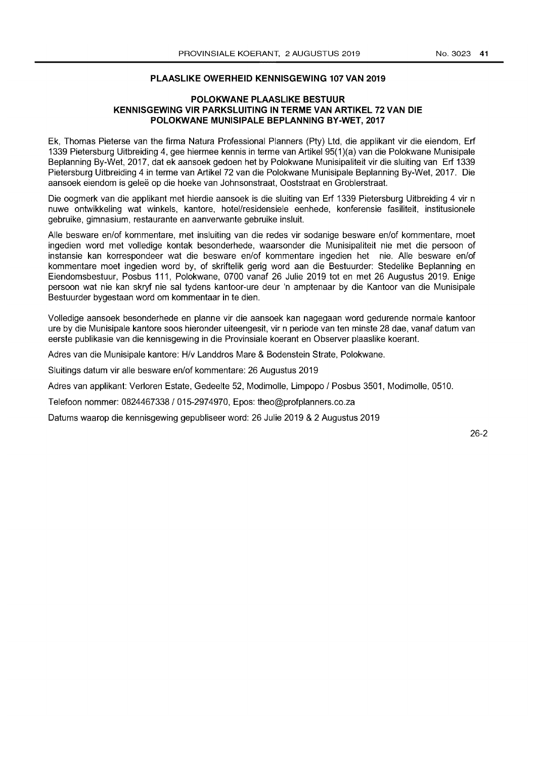### **PLAASLIKE OWERHEID KENNISGEWING 107 VAN 2019**

### **POLOKWANE PLAASLIKE BESTUUR KENNISGEWING VIR PARKSLUITING IN TERME VAN ARTIKEL 72 VAN DIE POLOKWANE MUNISIPALE BEPLANNING BY-WET, 2017**

Ek, Thomas Pieterse van the firma Natura Professional Planners (Pty) Ltd, die applikant vir die eiendom, Erf 1339 Pietersburg Uitbreiding 4, gee hiermee kennis in terme van Artikel 95(1 )(a) van die Polokwane Munisipale Beplanning By-Wet, 2017, dat ek aansoek gedoen het by Polokwane Munisipaliteit vir die sluiting van Erf 1339 Pietersburg Uitbreiding 4 in terme van Artikel 72 van die Polokwane Munisipale Beplanning By-Wet, 2017. Die aansoek eiendom is gelee op die hoeke van Johnsonstraat, Ooststraat en Groblerstraat.

Die oogmerk van die applikant met hierdie aansoek is die sluiting van Erf 1339 Pietersburg Uitbreiding 4 vir n nuwe ontwikkeling wat winkels, kantore, hotel/residensiele eenhede, konferensie fasiliteit, institusionele gebruike, gimnasium, restaurante en aanverwante gebruike insluit.

Aile besware en/of kommentare, met insluiting van die redes vir sodanige besware en/of kommentare, moet ingedien word met volledige kontak besonderhede, waarsonder die Munisipaliteit nie met die persoon of instansie kan korrespondeer wat die besware en/of kommentare ingedien het nie. Aile besware en/of kommentare moet ingedien word by, of skriftelik gerig word aan die Bestuurder: Stedelike Beplanning en Eiendomsbestuur, Posbus 111, Polokwane, 0700 vanaf 26 Julie 2019 tot en met 26 Augustus 2019. Enige persoon wat nie kan skryf nie sal tydens kantoor-ure deur 'n amptenaar by die Kantoor van die Munisipale Bestuurder bygestaan word om kommentaar in te dien.

Volledige aansoek besonderhede en planne vir die aansoek kan nagegaan word gedurende normale kantoor ure by die Munisipale kantore soos hieronder uiteengesit, vir n periode van ten minste 28 dae, vanaf datum van eerste publikasie van die kennisgewing in die Provinsiale koerant en Observer plaaslike koerant.

Adres van die Munisipale kantore: H/v Landdros Mare & Bodenstein Strate, Polokwane.

Sluitings datum vir aile besware en/of kommentare: 26 Augustus 2019

Adres van applikant: Verloren Estate, Gedeelte 52, Modimolle, Limpopo / Posbus 3501, Modimolle, 0510.

Telefoon nom mer: 0824467338/015-2974970, Epos: theo@profplanners.co.za

Datums waarop die kennisgewing gepubliseer word: 26 Julie 2019 & 2 Augustus 2019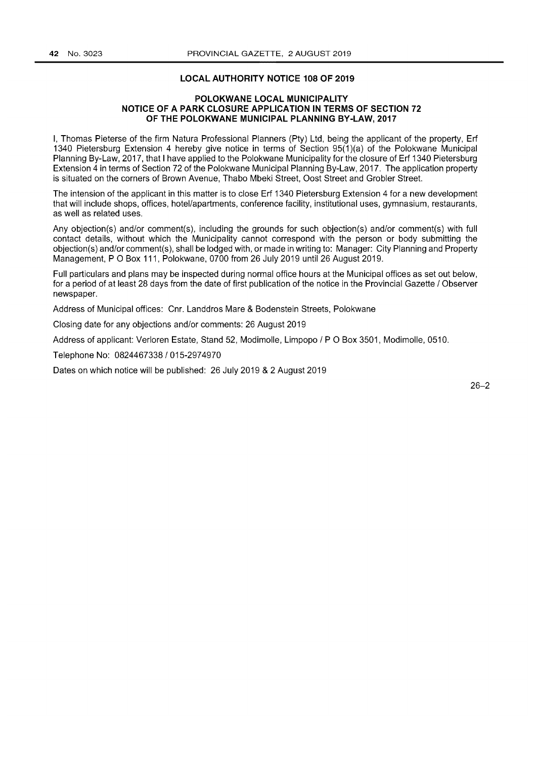### **LOCAL AUTHORITY NOTICE 108 OF 2019**

#### **POLOKWANE LOCAL MUNICIPALITY NOTICE OF A PARK CLOSURE APPLICATION IN TERMS OF SECTION 72 OF THE POLOKWANE MUNICIPAL PLANNING BY-LAW, 2017**

I, Thomas Pieterse of the firm Natura Professional Planners (Pty) Ltd, being the applicant of the property, Erf 1340 Pietersburg Extension 4 hereby give notice in terms of Section 95(1 )(a) of the Polokwane Municipal Planning By-Law, 2017, that I have applied to the Polokwane Municipality for the closure of Erf 1340 Pietersburg Extension 4 in terms of Section 72 of the Polokwane Municipal Planning By-Law, 2017. The application property is situated on the corners of Brown Avenue, Thabo Mbeki Street, Oost Street and Grobler Street.

The intension of the applicant in this matter is to close Erf 1340 Pietersburg Extension 4 for a new development that will include shops, offices, hotel/apartments, conference facility, institutional uses, gymnasium, restaurants, as well as related uses.

Any objection(s) and/or comment(s), including the grounds for such objection(s) and/or comment(s) with full contact details, without which the Municipality cannot correspond with the person or body submitting the objection(s) and/or comment(s), shall be lodged with, or made in writing to: Manager: City Planning and Property Management, POBox 111, Polokwane, 0700 from 26 July 2019 until 26 August 2019.

Full particulars and plans may be inspected during normal office hours at the Municipal offices as set out below, for a period of at least 28 days from the date of first publication of the notice in the Provincial Gazette / Observer newspaper.

Address of Municipal offices: Cnr. Landdros Mare & Bodenstein Streets, Polokwane

Closing date for any objections and/or comments: 26 August 2019

Address of applicant: Verloren Estate, Stand 52, Modimolle, Limpopo / P O Box 3501, Modimolle, 0510.

Telephone No: 0824467338/015-2974970

Dates on which notice will be published: 26 July 2019 & 2 August 2019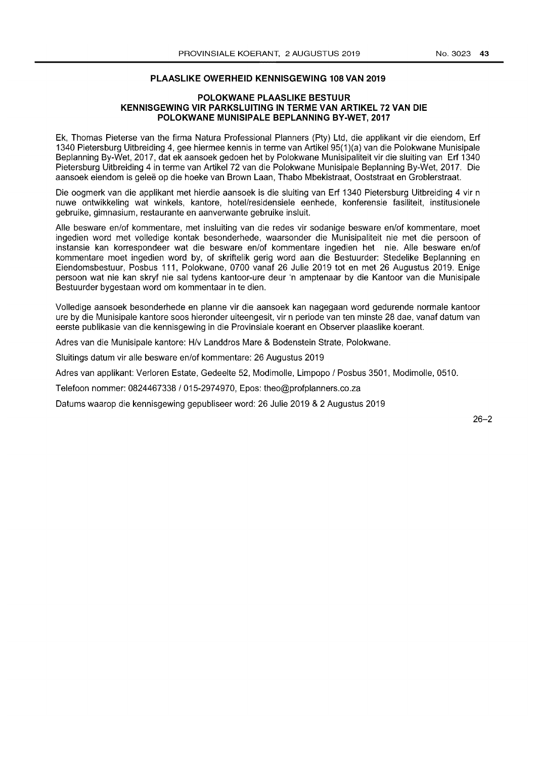### **PLAASLIKE OWERHEID KENNISGEWING 108 VAN 2019**

#### **POLOKWANE PLAASLIKE BESTUUR KENNISGEWING VIR PARKSLUITING IN TERME VAN ARTIKEL 72 VAN DIE POLOKWANE MUNISIPALE BEPLANNING BY-WET, 2017**

Ek, Thomas Pieterse van the firma Natura Professional Planners (Pty) Ltd, die applikant vir die eiendom, Erf 1340 Pietersburg Uitbreiding 4, gee hiermee kennis in terme van Artikel 95(1 )(a) van die Polokwane Munisipale Beplanning By-Wet, 2017, dat ek aansoek gedoen het by Polokwane Munisipaliteit vir die sluiting van Erf 1340 Pietersburg Uitbreiding 4 in terme van Artikel 72 van die Polokwane Munisipale Beplanning By-Wet, 2017. Die aansoek eiendom is gelee op die hoeke van Brown Laan, Thabo Mbekistraat, Ooststraat en Groblerstraat.

Die oogmerk van die applikant met hierdie aansoek is die sluiting van Erf 1340 Pietersburg Uitbreiding 4 vir n nuwe ontwikkeling wat winkels, kantore, hotel/residensiele eenhede, konferensie fasiliteit, institusionele gebruike, gimnasium, restaurante en aanverwante gebruike insluit.

Aile besware en/of kommentare, met insluiting van die redes vir sodanige besware en/of kommentare, moet ingedien word met volledige kontak besonderhede, waarsonder die Munisipaliteit nie met die persoon of instansie kan korrespondeer wat die besware en/of kommentare ingedien het nie. Aile besware en/of kommentare moet ingedien word by, of skriftelik gerig word aan die Bestuurder: Stedelike Beplanning en Eiendomsbestuur, Posbus 111, Polokwane, 0700 vanaf 26 Julie 2019 tot en met 26 Augustus 2019. Enige persoon wat nie kan skryf nie sal tydens kantoor-ure deur 'n amptenaar by die Kantoor van die Munisipale Bestuurder bygestaan word om kommentaar in te dien.

Volledige aansoek besonderhede en planne vir die aansoek kan nagegaan word gedurende normale kantoor ure by die Munisipale kantore soos hieronder uiteengesit, vir n periode van ten minste 28 dae, vanaf datum van eerste publikasie van die kennisgewing in die Provinsiale koerant en Observer plaaslike koerant.

Adres van die Munisipale kantore: H/v Landdros Mare & Bodenstein Strate, Polokwane.

Sluitings datum vir aile besware en/of kommentare: 26 Augustus 2019

Adres van applikant: Verloren Estate, Gedeelte 52, Modimolle, Limpopo / Posbus 3501, Modimolle, 0510.

Telefoon nommer: 0824467338/015-2974970, Epos: theo@profplanners.co.za

Datums waarop die kennisgewing gepubliseer word: 26 Julie 2019 & 2 Augustus 2019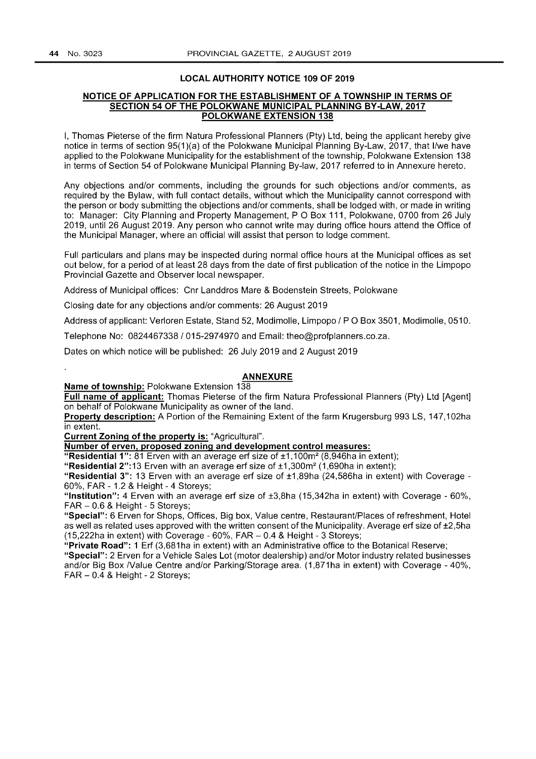### LOCAL AUTHORITY NOTICE 109 OF 2019

#### NOTICE OF APPLICATION FOR THE ESTABLISHMENT OF A TOWNSHIP IN TERMS OF SECTION 54 OF THE POLOKWANE MUNICIPAL PLANNING BY-LAW, 2017 POLOKWANE EXTENSION 138

I, Thomas Pieterse of the firm Natura Professional Planners (Pty) Ltd, being the applicant hereby give notice in terms of section 95(1)(a) of the Polokwane Municipal Planning By-Law, 2017, that I/we have applied to the Polokwane Municipality for the establishment of the township, Polokwane Extension 138 in terms of Section 54 of Polokwane Municipal Planning By-law, 2017 referred to in Annexure hereto.

Any objections and/or comments, including the grounds for such objections and/or comments, as required by the Bylaw, with full contact details, without which the Municipality cannot correspond with the person or body submitting the objections and/or comments, shall be lodged with, or made in writing to: Manager: City Planning and Property Management, P O Box 111, Polokwane, 0700 from 26 July 2019, until 26 August 2019. Any person who cannot write may during office hours attend the Office of the Municipal Manager, where an official will assist that person to lodge comment.

Full particulars and plans may be inspected during normal office hours at the Municipal offices as set out below, for a period of at least 28 days from the date of first publication of the notice in the Limpopo Provincial Gazette and Observer local newspaper.

Address of Municipal offices: Cnr Landdros Mare & Bodenstein Streets, Polokwane

Closing date for any objections and/or comments: 26 August 2019

Address of applicant: Verloren Estate, Stand 52, Modimolle, Limpopo / P O Box 3501, Modimolle, 0510.

Telephone No: 0824467338/015-2974970 and Email: theo@profplanners.co.za.

Dates on which notice will be published: 26 July 2019 and 2 August 2019

#### ANNEXURE

Name of township: Polokwane Extension 138

Full name of applicant: Thomas Pieterse of the firm Natura Professional Planners (Pty) Ltd [Agent] on behalf of Polokwane Municipality as owner of the land.

Property description: A Portion of the Remaining Extent of the farm Krugersburg 993 LS, 147,102ha in extent.

Current Zoning of the property is: "Agricultural".

Number of erven, proposed zoning and development control measures:

"Residential 1": 81 Erven with an average erf size of  $\pm 1,100$ m<sup>2</sup> (8,946ha in extent);

"Residential  $2$ ": 13 Erven with an average erf size of  $\pm 1,300$  m<sup>2</sup> (1,690 ha in extent);

"Residential 3": 13 Erven with an average erf size of ±1 ,89ha (24,586ha in extent) with Coverage - 60%, FAR - 1.2 & Height - 4 Storeys;

"Institution": 4 Erven with an average erf size of  $\pm 3,8$ ha (15,342ha in extent) with Coverage - 60%, FAR - 0.6 & Height - 5 Storeys;

"Special": 6 Erven for Shops, Offices, Big box, Value centre, Restaurant/Places of refreshment, Hotel as well as related uses approved with the written consent of the Municipality. Average erf size of ±2,5ha  $(15,222)$ ha in extent) with Coverage - 60%, FAR  $-$  0.4 & Height - 3 Storeys;

"Private Road": 1 Erf (3,681ha in extent) with an Administrative office to the Botanical Reserve; "Special": 2 Erven for a Vehicle Sales Lot (motor dealership) and/or Motor industry related businesses and/or Big Box /Value Centre and/or Parking/Storage area. (1,871ha in extent) with Coverage - 40%,  $FAR - 0.4$  & Height - 2 Storeys;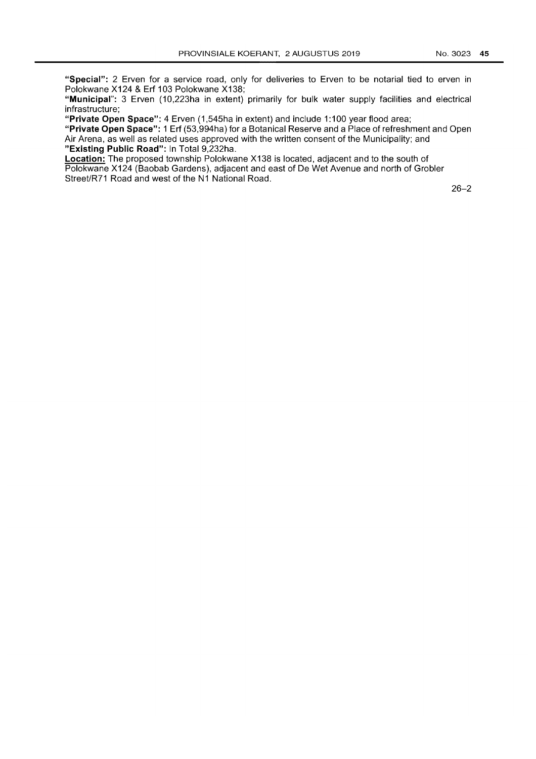"Special": 2 Erven for a service road, only for deliveries to Erven to be notarial tied to erven in Polokwane X124 & Erf 103 Polokwane X138;

"Municipal": 3 Erven (10,223ha in extent) primarily for bulk water supply facilities and electrical infrastructure;

"Private Open Space": 4 Erven (1.545ha in extent) and include 1:100 year flood area;

"Private Open Space": 1 Erf (53,994ha) for a Botanical Reserve and a Place of refreshment and Open Air Arena, as well as related uses approved with the written consent of the Municipality; and "Existing Public Road": In Total 9,232ha.

Location: The proposed township Polokwane X138 is located, adjacent and to the south of Polokwane X124 (Baobab Gardens), adjacent and east of De Wet Avenue and north of Grobler Street/R71 Road and west of the N1 National Road.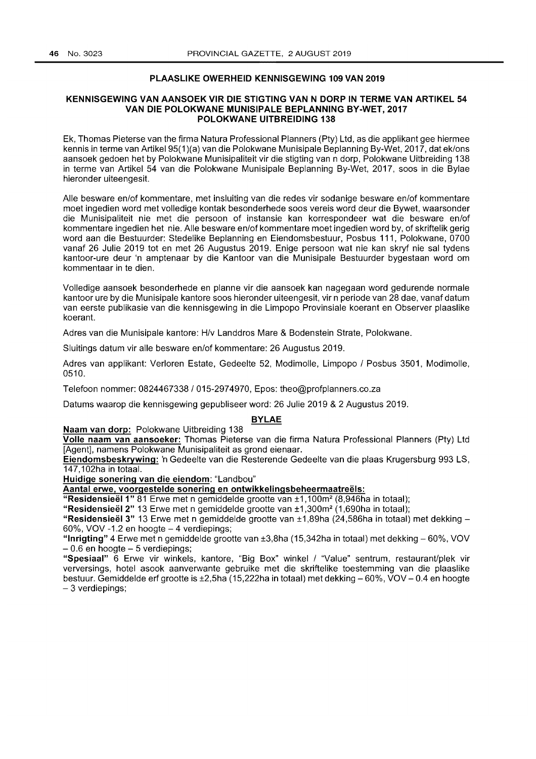### PLAASLIKE OWERHEID KENNISGEWING 109 VAN 2019

#### KENNISGEWING VAN AANSOEK VIR DIE STIGTING VAN N DORP IN TERME VAN ARTIKEL 54 VAN DIE POLOKWANE MUNISIPALE BEPLANNING BY-WET, 2017 POLOKWANE UITBREIDING 138

Ek, Thomas Pieterse van the firma Natura Professional Planners (Pty) Ltd, as die applikant gee hiermee kennis in terme van Artikel 95(1)(a) van die Polokwane Munisipale Beplanning By-Wet, 2017, dat ek/ons aansoek gedoen het by Polokwane Munisipaliteit vir die stigting van n dorp, Polokwane Uitbreiding 138 in terme van Artikel 54 van die Polokwane Munisipale Beplanning By-Wet, 2017, soos in die Bylae hieronder uiteengesit.

Aile besware en/of kommentare, met insluiting van die redes vir sodanige besware en/of kommentare moet ingedien word met volledige kontak besonderhede soos vereis word deur die Bywet, waarsonder die Munisipaliteit nie met die persoon of instansie kan korrespondeer wat die besware en/of kommentare ingedien het nie. Aile besware en/of kommentare moet ingedien word by, of skriftelik gerig word aan die Bestuurder: Stedelike Beplanning en Eiendomsbestuur, Posbus 111, Polokwane, 0700 vanaf 26 Julie 2019 tot en met 26 Augustus 2019. Enige persoon wat nie kan skryf nie sal tydens kantoor-ure deur 'n amptenaar by die Kantoor van die Munisipale Bestuurder bygestaan word om kommentaar in te dien.

Volledige aansoek besonderhede en planne vir die aansoek kan nagegaan word gedurende normale kantoor ure by die Munisipale kantore soos hieronder uiteengesit, vir n periode van 28 dae, vanaf datum van eerste publikasie van die kennisgewing in die Limpopo Provinsiale koerant en Observer plaaslike koerant.

Adres van die Munisipale kantore: H/v Landdros Mare & Bodenstein Strate, Polokwane.

Sluitings datum vir aile besware en/of kommentare: 26 Augustus 2019.

Adres van applikant: Verloren Estate, Gedeelte 52, Modimolle, Limpopo / Posbus 3501, Modimolle, 0510.

Telefoon nommer: 0824467338/015-2974970, Epos: theo@profplanners.co.za

Datums waarop die kennisgewing gepubliseer word: 26 Julie 2019 & 2 Augustus 2019.

### BYLAE

Naam van dorp: Polokwane Uitbreiding 138

Volle naam van aansoeker: Thomas Pieterse van die firma Natura Professional Planners (Pty) Ltd [Agent], namens Polokwane Munisipaliteit as grond eienaar.

Eiendomsbeskrywing: 'n Gedeelte van die Resterende Gedeelte van die plaas Krugersburg 993 LS, 147, 102ha in totaal.

Huidige sonering van die eiendom: "Landbou"

Aantal erwe, voorgestelde sonering en ontwikkelingsbeheermaatreëls:

"ResidensieeI1" 81 Erwe met n gemiddelde grootte van ±1,100m2 (8,946ha in totaal);

"Residensieël 2" 13 Erwe met n gemiddelde grootte van  $\pm 1.300$ m<sup>2</sup> (1,690ha in totaal);

"Residensieel 3" 13 Erwe met n gemiddelde grootte van ±1 ,89ha (24,586ha in totaal) met dekking -  $60\%$ , VOV -1.2 en hoogte  $-4$  verdiepings;

"Inrigting" 4 Erwe met n gemiddelde grootte van  $\pm 3,8$ ha (15,342ha in totaal) met dekking – 60%, VOV  $-0.6$  en hoogte  $-5$  verdiepings:

"Spesiaal" 6 Erwe vir winkels, kantore, "Big Box" winkel / "Value" sentrum, restaurant/plek vir verversings, hotel asook aanverwante gebruike met die skriftelike toestemming van die plaaslike bestuur. Gemiddelde erf grootte is  $\pm 2,5$ ha (15,222ha in totaal) met dekking  $-60\%$ , VOV  $-0.4$  en hoogte - 3 verdiepings;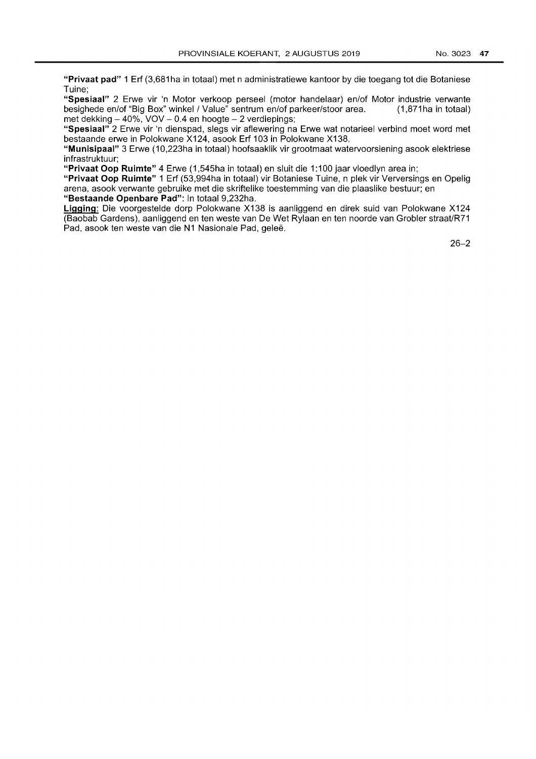"Privaat pad" 1 Erf (3,681 ha in totaal) met n administratiewe kantoor by die toegang tot die Botaniese Tuine;

"Spesiaal" 2 Erwe vir 'n Motor verkoop perseel (motor handelaar) en/of Motor industrie verwante besighede en/of "Big Box" winkel / Value" sentrum en/of parkeer/stoor area. (1,871 ha in totaal) met dekking  $-40\%$ , VOV  $-0.4$  en hoogte  $-2$  verdiepings;

"Spesiaal" 2 Erwe vir 'n dienspad, slegs vir aflewering na Erwe wat notarieel verbind moet word met bestaande erwe in Polokwane X124, asook Erf 103 in Polokwane X138.

"Munisipaal" 3 Erwe (10,223ha in totaal) hoofsaaklik vir grootmaat watervoorsiening asook elektriese infrastruktuur;

"Privaat Oop Ruimte" 4 Erwe (1,545ha in totaal) en sluit die 1:100 jaar vloedlyn area in;

"Privaat Oop Ruimte" 1 Erf (53,994ha in totaal) vir Botaniese Tuine, n plek vir Verversings en Opelig arena, asook verwante gebruike met die skriftelike toestemming van die plaaslike bestuur; en

"Bestaande Openbare Pad": In totaal 9,232ha.

Ligging: Die voorgestelde dorp Polokwane X138 is aanliggend en direk suid van Polokwane X124 (Baobab Gardens), aanliggend en ten weste van De Wet Rylaan en ten noorde van Grobler straaUR71 Pad, asook ten weste van die N1 Nasionale Pad, geleë.